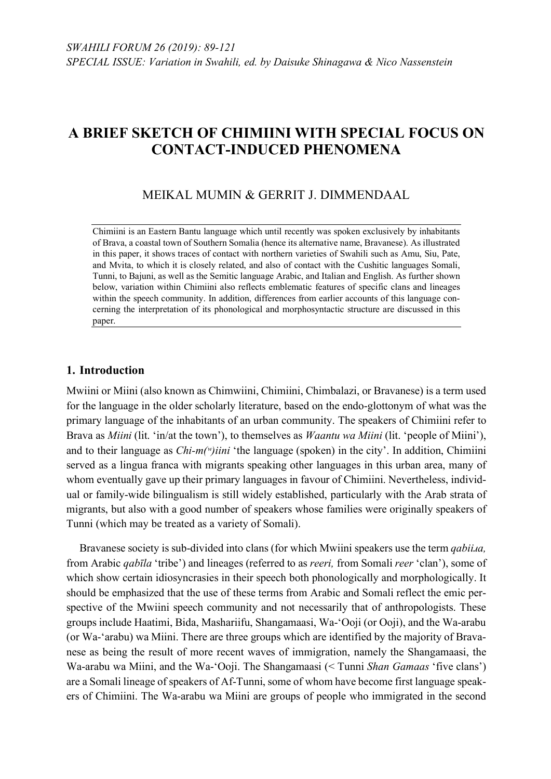# MEIKAL MUMIN & GERRIT J. DIMMENDAAL

Chimiini is an Eastern Bantu language which until recently was spoken exclusively by inhabitants of Brava, a coastal town of Southern Somalia (hence its alternative name, Bravanese). As illustrated in this paper, it shows traces of contact with northern varieties of Swahili such as Amu, Siu, Pate, and Mvita, to which it is closely related, and also of contact with the Cushitic languages Somali, Tunni, to Bajuni, as well as the Semitic language Arabic, and Italian and English. As further shown below, variation within Chimiini also reflects emblematic features of specific clans and lineages within the speech community. In addition, differences from earlier accounts of this language concerning the interpretation of its phonological and morphosyntactic structure are discussed in this paper.

# **1. Introduction**

Mwiini or Miini (also known as Chimwiini, Chimiini, Chimbalazi, or Bravanese) is a term used for the language in the older scholarly literature, based on the endo-glottonym of what was the primary language of the inhabitants of an urban community. The speakers of Chimiini refer to Brava as *Miini* (lit. 'in/at the town'), to themselves as *Waantu wa Miini* (lit. 'people of Miini'), and to their language as *Chi-m(ʷ)iini* 'the language (spoken) in the city'. In addition, Chimiini served as a lingua franca with migrants speaking other languages in this urban area, many of whom eventually gave up their primary languages in favour of Chimiini. Nevertheless, individual or family-wide bilingualism is still widely established, particularly with the Arab strata of migrants, but also with a good number of speakers whose families were originally speakers of Tunni (which may be treated as a variety of Somali).

Bravanese society is sub-divided into clans (for which Mwiini speakers use the term *qabiiɹa,* from Arabic *qabīla* 'tribe') and lineages (referred to as *reeri,* from Somali *reer* 'clan'), some of which show certain idiosyncrasies in their speech both phonologically and morphologically. It should be emphasized that the use of these terms from Arabic and Somali reflect the emic perspective of the Mwiini speech community and not necessarily that of anthropologists. These groups include Haatimi, Bida, Mashariifu, Shangamaasi, Wa-'Ooji (or Ooji), and the Wa-arabu (or Wa-'arabu) wa Miini. There are three groups which are identified by the majority of Bravanese as being the result of more recent waves of immigration, namely the Shangamaasi, the Wa-arabu wa Miini, and the Wa-'Ooji. The Shangamaasi (< Tunni *Shan Gamaas* 'five clans') are a Somali lineage of speakers of Af-Tunni, some of whom have become first language speakers of Chimiini. The Wa-arabu wa Miini are groups of people who immigrated in the second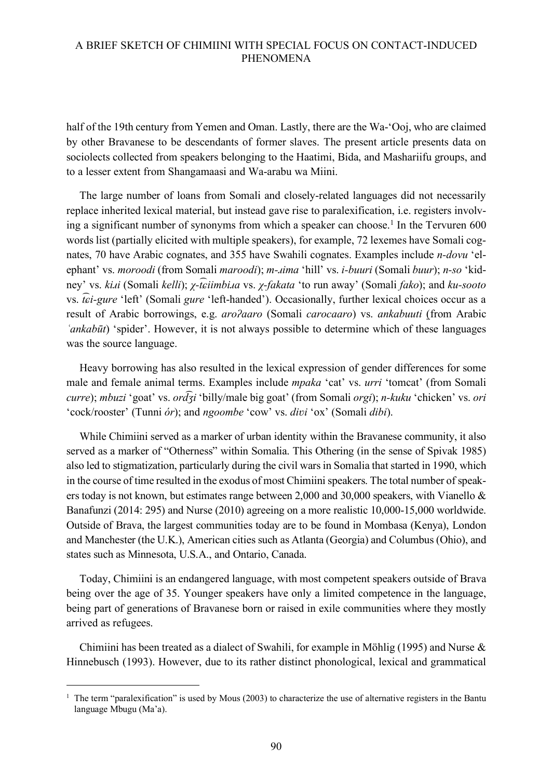half of the 19th century from Yemen and Oman. Lastly, there are the Wa-'Ooj, who are claimed by other Bravanese to be descendants of former slaves. The present article presents data on sociolects collected from speakers belonging to the Haatimi, Bida, and Mashariifu groups, and to a lesser extent from Shangamaasi and Wa-arabu wa Miini.

The large number of loans from Somali and closely-related languages did not necessarily replace inherited lexical material, but instead gave rise to paralexification, i.e. registers involving a significant number of synonyms from which a speaker can choose. <sup>1</sup> In the Tervuren 600 words list (partially elicited with multiple speakers), for example, 72 lexemes have Somali cognates, 70 have Arabic cognates, and 355 have Swahili cognates. Examples include *n-dovu* 'elephant' vs. *moroodi* (from Somali *maroodi*); *m-ɹima* 'hill' vs. *i-buuri* (Somali *buur*); *n-so* 'kidney' vs. *kiɹi* (Somali *kelli*); *χ-t ͡ɕiimbiɹa* vs. *χ-fakata* 'to run away' (Somali *fako*); and *ku-sooto* vs. *t ͡ɕi-gure* 'left' (Somali *gure* 'left-handed'). Occasionally, further lexical choices occur as a result of Arabic borrowings, e.g. *aroʔaaro* (Somali *carocaaro*) vs. *ankabuuti* (from Arabic *ʿankabūt*) 'spider'. However, it is not always possible to determine which of these languages was the source language.

Heavy borrowing has also resulted in the lexical expression of gender differences for some male and female animal terms. Examples include *mpaka* 'cat' vs. *urri* 'tomcat' (from Somali *curre*); *mbuzi* 'goat' vs. *ord ͡ʒi* 'billy/male big goat' (from Somali *orgi*); *n-kuku* 'chicken' vs. *ori* 'cock/rooster' (Tunni *ór*); and *ngoombe* 'cow' vs. *diʋi* 'ox' (Somali *dibi*).

While Chimiini served as a marker of urban identity within the Bravanese community, it also served as a marker of "Otherness" within Somalia. This Othering (in the sense of Spivak 1985) also led to stigmatization, particularly during the civil wars in Somalia that started in 1990, which in the course of time resulted in the exodus of most Chimiini speakers. The total number of speakers today is not known, but estimates range between 2,000 and 30,000 speakers, with Vianello & Banafunzi (2014: 295) and Nurse (2010) agreeing on a more realistic 10,000-15,000 worldwide. Outside of Brava, the largest communities today are to be found in Mombasa (Kenya), London and Manchester (the U.K.), American cities such as Atlanta (Georgia) and Columbus (Ohio), and states such as Minnesota, U.S.A., and Ontario, Canada.

Today, Chimiini is an endangered language, with most competent speakers outside of Brava being over the age of 35. Younger speakers have only a limited competence in the language, being part of generations of Bravanese born or raised in exile communities where they mostly arrived as refugees.

Chimiini has been treated as a dialect of Swahili, for example in Möhlig (1995) and Nurse & Hinnebusch (1993). However, due to its rather distinct phonological, lexical and grammatical

<sup>&</sup>lt;sup>1</sup> The term "paralexification" is used by Mous (2003) to characterize the use of alternative registers in the Bantu language Mbugu (Ma'a).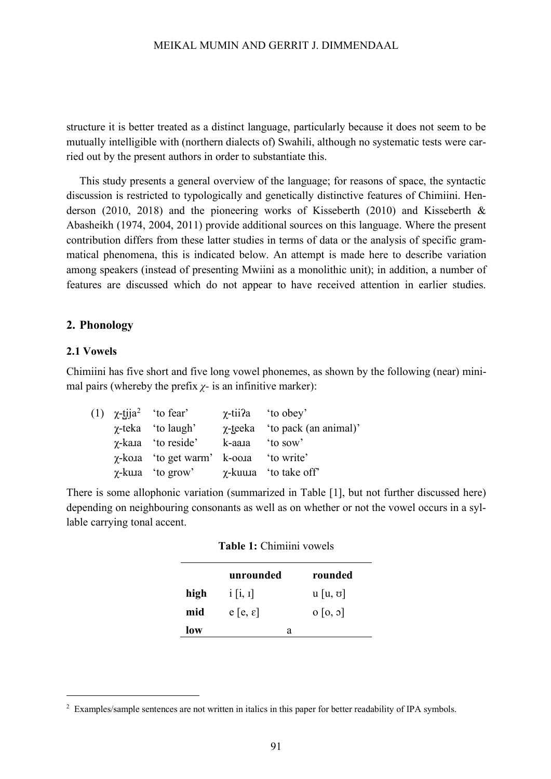structure it is better treated as a distinct language, particularly because it does not seem to be mutually intelligible with (northern dialects of) Swahili, although no systematic tests were carried out by the present authors in order to substantiate this.

This study presents a general overview of the language; for reasons of space, the syntactic discussion is restricted to typologically and genetically distinctive features of Chimiini. Henderson (2010, 2018) and the pioneering works of Kisseberth (2010) and Kisseberth & Abasheikh (1974, 2004, 2011) provide additional sources on this language. Where the present contribution differs from these latter studies in terms of data or the analysis of specific grammatical phenomena, this is indicated below. An attempt is made here to describe variation among speakers (instead of presenting Mwiini as a monolithic unit); in addition, a number of features are discussed which do not appear to have received attention in earlier studies.

#### **2. Phonology**

#### **2.1 Vowels**

Chimiini has five short and five long vowel phonemes, as shown by the following (near) minimal pairs (whereby the prefix  $\chi$ - is an infinitive marker):

|  | (1) $\chi$ -tija <sup>2</sup> 'to fear'      | $\gamma$ -tii?a 'to obey'             |
|--|----------------------------------------------|---------------------------------------|
|  | $\gamma$ -teka 'to laugh'                    | <i>χ</i> -teeka 'to pack (an animal)' |
|  | $\gamma$ -kara 'to reside'                   | k-aara 'to sow'                       |
|  | $\chi$ -koja 'to get warm' k-ooja 'to write' |                                       |
|  | $\gamma$ -kuja 'to grow'                     | $\gamma$ -kuuna 'to take off'         |

There is some allophonic variation (summarized in Table [1], but not further discussed here) depending on neighbouring consonants as well as on whether or not the vowel occurs in a syllable carrying tonal accent.

|      | unrounded           | rounded              |
|------|---------------------|----------------------|
| high | i[i, i]             | $u[u, \sigma]$       |
| mid  | $e[e, \varepsilon]$ | $0\left[0, 0\right]$ |
| low  | а                   |                      |

|  | Table 1: Chimiini vowels |  |
|--|--------------------------|--|
|  |                          |  |

<sup>&</sup>lt;sup>2</sup> Examples/sample sentences are not written in italics in this paper for better readability of IPA symbols.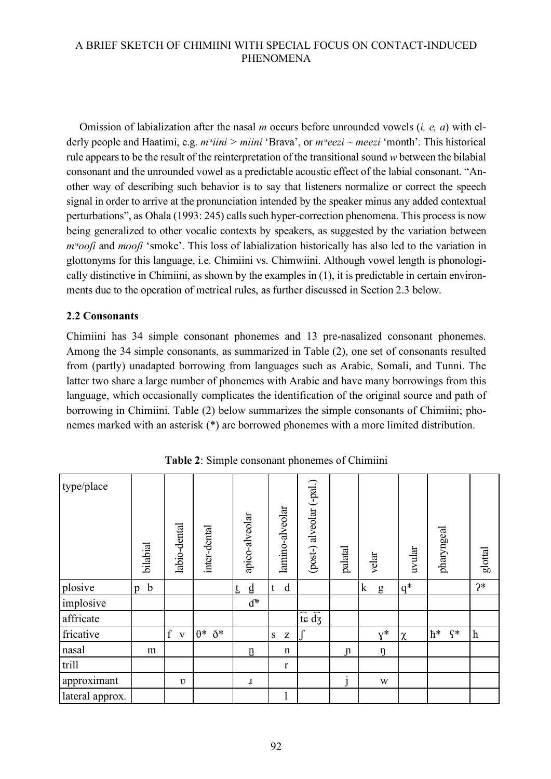Omission of labialization after the nasal *m* occurs before unrounded vowels (*i, e, a*) with elderly people and Haatimi, e.g. *mʷiini > miini* 'Brava', or *mʷeezi ~ meezi* 'month'. This historical rule appears to be the result of the reinterpretation of the transitional sound *w* between the bilabial consonant and the unrounded vowel as a predictable acoustic effect of the labial consonant. "Another way of describing such behavior is to say that listeners normalize or correct the speech signal in order to arrive at the pronunciation intended by the speaker minus any added contextual perturbations", as Ohala (1993: 245) calls such hyper-correction phenomena. This process is now being generalized to other vocalic contexts by speakers, as suggested by the variation between *mʷooʃi* and *mooʃi* 'smoke'. This loss of labialization historically has also led to the variation in glottonyms for this language, i.e. Chimiini vs. Chimwiini. Although vowel length is phonologically distinctive in Chimiini, as shown by the examples in (1), it is predictable in certain environments due to the operation of metrical rules, as further discussed in Section 2.3 below.

# **2.2 Consonants**

Chimiini has 34 simple consonant phonemes and 13 pre-nasalized consonant phonemes. Among the 34 simple consonants, as summarized in Table (2), one set of consonants resulted from (partly) unadapted borrowing from languages such as Arabic, Somali, and Tunni. The latter two share a large number of phonemes with Arabic and have many borrowings from this language, which occasionally complicates the identification of the original source and path of borrowing in Chimiini. Table (2) below summarizes the simple consonants of Chimiini; phonemes marked with an asterisk (\*) are borrowed phonemes with a more limited distribution.

| type/place      | bilabial         | labio-dental                     | inter-dental        | apico-alveolar | lamino-alveolar  | (post-) alveolar (-pal.)                       | palatal       | velar            | uvular | pharyngeal             | glottal          |
|-----------------|------------------|----------------------------------|---------------------|----------------|------------------|------------------------------------------------|---------------|------------------|--------|------------------------|------------------|
| plosive         | $\mathbf b$<br>p |                                  |                     | d<br>Ĺ         | d<br>$\mathbf t$ |                                                |               | $\mathbf k$<br>g | $q^*$  |                        | $2*$             |
| implosive       |                  |                                  |                     | $d^*$          |                  |                                                |               |                  |        |                        |                  |
| affricate       |                  |                                  |                     |                |                  | $\widehat{\mathrm{te}}$ $\widehat{\mathrm{d}}$ |               |                  |        |                        |                  |
| fricative       |                  | $\boldsymbol{f}$<br>$\mathbf{V}$ | $\theta^*$ $\eth^*$ |                | ${\bf S}$<br>Z   |                                                |               | $V^*$            | $\chi$ | $h^*$<br>$\varsigma^*$ | $\boldsymbol{h}$ |
| nasal           | m                |                                  |                     | ŋ              | $\mathbf n$      |                                                | $\mathfrak n$ | ŋ                |        |                        |                  |
| trill           |                  |                                  |                     |                | $\mathbf r$      |                                                |               |                  |        |                        |                  |
| approximant     |                  | $\upsilon$                       |                     | ı              |                  |                                                | $\mathbf{I}$  | W                |        |                        |                  |
| lateral approx. |                  |                                  |                     |                | 1                |                                                |               |                  |        |                        |                  |

**Table 2**: Simple consonant phonemes of Chimiini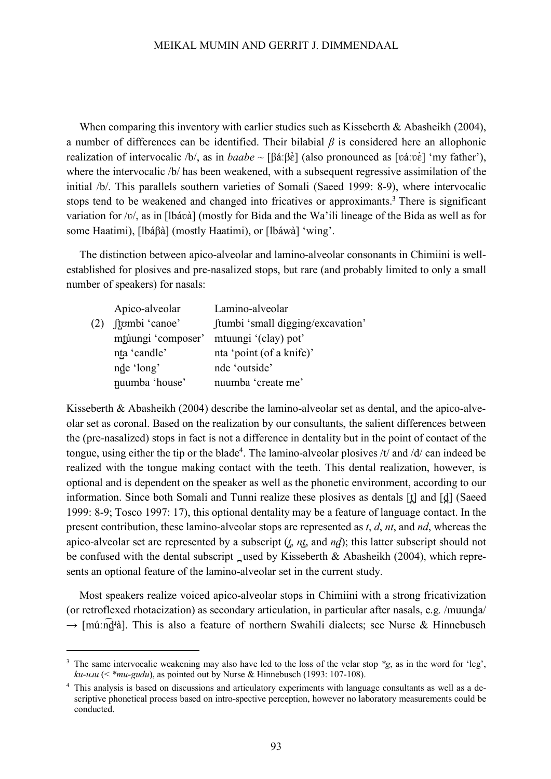When comparing this inventory with earlier studies such as Kisseberth  $\&$  Abasheikh (2004), a number of differences can be identified. Their bilabial *β* is considered here an allophonic realization of intervocalic /b/, as in *baabe* ~ [βáːβὲ] (also pronounced as [váːvὲ] 'my father'), where the intervocalic /b/ has been weakened, with a subsequent regressive assimilation of the initial /b/. This parallels southern varieties of Somali (Saeed 1999: 8-9), where intervocalic stops tend to be weakened and changed into fricatives or approximants.<sup>3</sup> There is significant variation for /ʋ/, as in [lbáʋà] (mostly for Bida and the Wa'ili lineage of the Bida as well as for some Haatimi), [lbáβà] (mostly Haatimi), or [lbáwà] 'wing'.

The distinction between apico-alveolar and lamino-alveolar consonants in Chimiini is wellestablished for plosives and pre-nasalized stops, but rare (and probably limited to only a small number of speakers) for nasals:

|     | Apico-alveolar     | Lamino-alveolar                   |
|-----|--------------------|-----------------------------------|
| (2) | ftombi 'canoe'     | ftumbi 'small digging/excavation' |
|     | mtúungi 'composer' | mtuungi '(clay) pot'              |
|     | nța 'candle'       | nta 'point (of a knife)'          |
|     | nde 'long'         | nde 'outside'                     |
|     | nuumba 'house'     | nuumba 'create me'                |

Kisseberth & Abasheikh (2004) describe the lamino-alveolar set as dental, and the apico-alveolar set as coronal. Based on the realization by our consultants, the salient differences between the (pre-nasalized) stops in fact is not a difference in dentality but in the point of contact of the tongue, using either the tip or the blade<sup>4</sup>. The lamino-alveolar plosives  $/t$  and  $/d$  can indeed be realized with the tongue making contact with the teeth. This dental realization, however, is optional and is dependent on the speaker as well as the phonetic environment, according to our information. Since both Somali and Tunni realize these plosives as dentals [t̪] and [d̪] (Saeed 1999: 8-9; Tosco 1997: 17), this optional dentality may be a feature of language contact. In the present contribution, these lamino-alveolar stops are represented as *t*, *d*, *nt*, and *nd*, whereas the apico-alveolar set are represented by a subscript (*t̺*, *nt̺*, and *nd̺*); this latter subscript should not be confused with the dental subscript \_used by Kisseberth  $\&$  Abasheikh (2004), which represents an optional feature of the lamino-alveolar set in the current study.

Most speakers realize voiced apico-alveolar stops in Chimiini with a strong fricativization (or retroflexed rhotacization) as secondary articulation, in particular after nasals, e.g*.* /muund̺a/  $\rightarrow$  [múːn͡d̪ʲà]. This is also a feature of northern Swahili dialects; see Nurse & Hinnebusch

 <sup>3</sup> The same intervocalic weakening may also have led to the loss of the velar stop *\*g*, as in the word for 'leg',  $ku\text{-}u\text{-}u\left(\frac{u}{v}\right)$  *ku-u*<sub>*xu*</sub> (< *\*mu-gudu*), as pointed out by Nurse & Hinnebusch (1993: 107-108).

<sup>&</sup>lt;sup>4</sup> This analysis is based on discussions and articulatory experiments with language consultants as well as a descriptive phonetical process based on intro-spective perception, however no laboratory measurements could be conducted.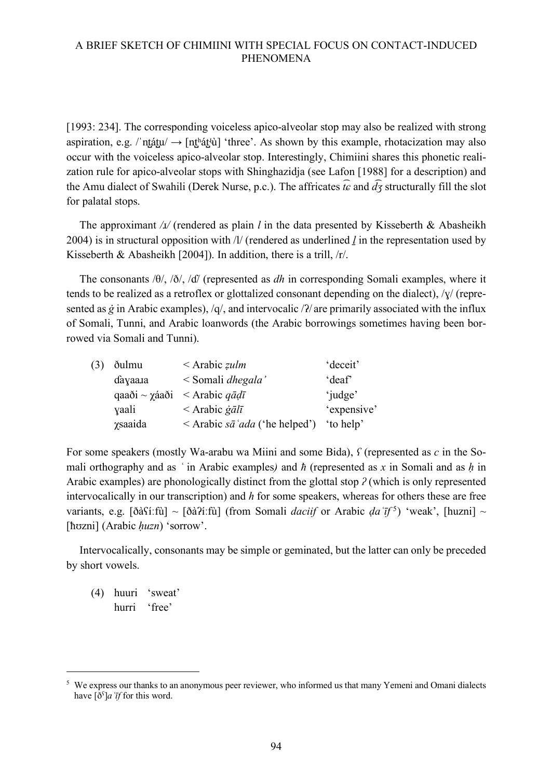[1993: 234]. The corresponding voiceless apico-alveolar stop may also be realized with strong aspiration, e.g. /ˈnt̪át̪u/ → [nt̪ʰát̪ʲù] 'three'. As shown by this example, rhotacization may also occur with the voiceless apico-alveolar stop. Interestingly, Chimiini shares this phonetic realization rule for apico-alveolar stops with Shinghazidja (see Lafon [1988] for a description) and the Amu dialect of Swahili (Derek Nurse, p.c.). The affricates  $\hat{t}\hat{\epsilon}$  and  $\hat{d}\hat{f}$  structurally fill the slot for palatal stops.

The approximant / $\lambda$ / (rendered as plain *l* in the data presented by Kisseberth & Abasheikh 2004) is in structural opposition with /l/ (rendered as underlined *ḻ* in the representation used by Kisseberth & Abasheikh [2004]). In addition, there is a trill, /r/.

The consonants /θ/, /ð/, /ɗ/ (represented as *dh* in corresponding Somali examples, where it tends to be realized as a retroflex or glottalized consonant depending on the dialect),  $/\gamma$  (represented as *g* in Arabic examples), /q/, and intervocalic /?/ are primarily associated with the influx of Somali, Tunni, and Arabic loanwords (the Arabic borrowings sometimes having been borrowed via Somali and Tunni).

| (3) | ðulmu           | $\leq$ Arabic <i>zulm</i>                         | deceit'           |
|-----|-----------------|---------------------------------------------------|-------------------|
|     | dayaara         | < Somali dhegala'                                 | deaf <sup>*</sup> |
|     |                 | qaaði ~ $\gamma$ áaði < Arabic $q\bar{q}d\bar{l}$ | 'judge'           |
|     | yaali           | $\langle$ Arabic <i>galī</i>                      | 'expensive'       |
|     | <i>x</i> saaida | $\leq$ Arabic sã 'ada ('he helped')               | 'to help'         |

For some speakers (mostly Wa-arabu wa Miini and some Bida), *ʕ* (represented as *c* in the Somali orthography and as *ʿ* in Arabic examples*)* and *ħ* (represented as *x* in Somali and as *ḥ* in Arabic examples) are phonologically distinct from the glottal stop *ʔ* (which is only represented intervocalically in our transcription) and *h* for some speakers, whereas for others these are free variants, e.g.  $[\delta \delta S$ *i*:fù] ~  $[\delta \delta \delta T$ *i*:fù] (from Somali *daciif* or Arabic *da*  $[\bar{\tau}^5]$  'weak', [huzni] ~ [hʊzni] (Arabic *huzn*) 'sorrow'.

Intervocalically, consonants may be simple or geminated, but the latter can only be preceded by short vowels.

(4) huuri 'sweat' hurri 'free'

<sup>&</sup>lt;sup>5</sup> We express our thanks to an anonymous peer reviewer, who informed us that many Yemeni and Omani dialects have  $\left[\delta^{\varsigma}\right]$ *a*  $\bar{t}$ *f* for this word.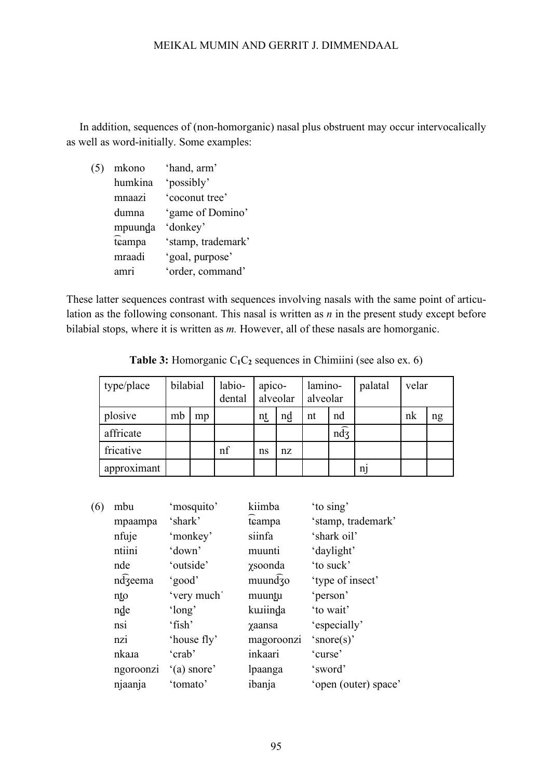In addition, sequences of (non-homorganic) nasal plus obstruent may occur intervocalically as well as word-initially. Some examples:

(5) mkono 'hand, arm' humkina 'possibly' mnaazi 'coconut tree' dumna 'game of Domino' mpuund̺a 'donkey' teampa 'stamp, trademark' mraadi 'goal, purpose' amri 'order, command'

These latter sequences contrast with sequences involving nasals with the same point of articulation as the following consonant. This nasal is written as *n* in the present study except before bilabial stops, where it is written as *m*. However, all of these nasals are homorganic.

| type/place  | bilabial |    | labio-<br>dental | apico- | alveolar | lamino-<br>alveolar |                    | palatal | velar |    |
|-------------|----------|----|------------------|--------|----------|---------------------|--------------------|---------|-------|----|
| plosive     | mb       | mp |                  | nt     | nd       | nt                  | nd                 |         | nk    | ng |
| affricate   |          |    |                  |        |          |                     | $n\widehat{d}_{3}$ |         |       |    |
| fricative   |          |    | nf               | ns     | nz       |                     |                    |         |       |    |
| approximant |          |    |                  |        |          |                     |                    | n1      |       |    |

**Table 3:** Homorganic C<sub>1</sub>C<sub>2</sub> sequences in Chimiini (see also ex. 6)

| (6) | mbu       | 'mosquito'    | kiimba                               | 'to sing'            |
|-----|-----------|---------------|--------------------------------------|----------------------|
|     | mpaampa   | 'shark'       | tcampa                               | 'stamp, trademark'   |
|     | nfuje     | 'monkey'      | siinfa                               | 'shark oil'          |
|     | ntiini    | 'down'        | muunti                               | 'daylight'           |
|     | nde       | 'outside'     | γsoonda                              | 'to suck'            |
|     | ndzeema   | 'good'        | $mu$ und $\overline{3}$ o            | 'type of insect'     |
|     | nto       | 'very much'   | muuntu                               | 'person'             |
|     | nde       | 'long'        | kuniinda                             | 'to wait'            |
|     | nsi       | 'fish'        | <b><i><u></u></i></b> <i>x</i> aansa | 'especially'         |
|     | nzi       | 'house fly'   | magoroonzi                           | 'snore(s)'           |
|     | nkara     | 'crab'        | inkaari                              | 'curse'              |
|     | ngoroonzi | $'(a)$ snore' | lpaanga                              | 'sword'              |
|     | njaanja   | 'tomato'      | ibanja                               | 'open (outer) space' |
|     |           |               |                                      |                      |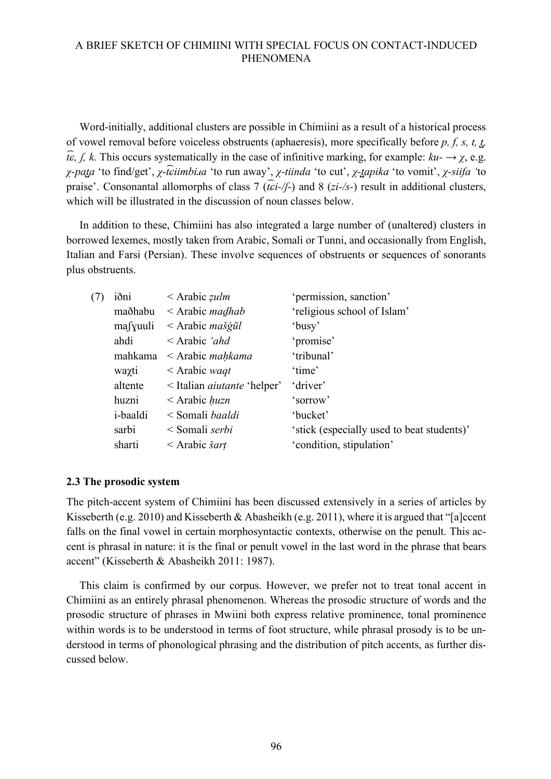Word-initially, additional clusters are possible in Chimiini as a result of a historical process of vowel removal before voiceless obstruents (aphaeresis), more specifically before *p, f, s, t, t̺,*   $\widehat{t_{\epsilon}}$ , *f*, *k*. This occurs systematically in the case of infinitive marking, for example:  $ku \rightarrow \chi$ , e.g. *χ-pata* 'to find/get', *χ-t͡εiimbi.ia* 'to run away', *χ-tiinda* 'to cut', *χ-t̪apika* 'to vomit', *χ-siifa* 'to praise'. Consonantal allomorphs of class 7 (*t ͡ɕi-/ʃ-*) and 8 (*zi-/s-*) result in additional clusters, which will be illustrated in the discussion of noun classes below.

In addition to these, Chimiini has also integrated a large number of (unaltered) clusters in borrowed lexemes, mostly taken from Arabic, Somali or Tunni, and occasionally from English, Italian and Farsi (Persian). These involve sequences of obstruents or sequences of sonorants plus obstruents.

| (7) | iðni             | $\leq$ Arabic <i>zulm</i>               | 'permission, sanction'                     |
|-----|------------------|-----------------------------------------|--------------------------------------------|
|     | maðhabu          | $\leq$ Arabic <i>madhab</i>             | 'religious school of Islam'                |
|     | mafyuuli         | $\langle$ Arabic <i>mašgūl</i>          | 'busy'                                     |
|     | ahdi             | $\leq$ Arabic <i>'ahd</i> '             | 'promise'                                  |
|     | mahkama          | $\leq$ Arabic <i>mahkama</i>            | 'tribunal'                                 |
|     | waxti            | $\leq$ Arabic waqt                      | 'time'                                     |
|     | altente          | $\leq$ Italian <i>aiutante</i> 'helper' | 'driver'                                   |
|     | huzni            | $\leq$ Arabic <i>huzn</i>               | 'sorrow'                                   |
|     | <i>i</i> -baaldi | < Somali <i>baaldi</i>                  | 'bucket'                                   |
|     | sarbi            | < Somali serbi                          | 'stick (especially used to beat students)' |
|     | sharti           | $\leq$ Arabic <i>šart</i>               | 'condition, stipulation'                   |
|     |                  |                                         |                                            |

#### **2.3 The prosodic system**

The pitch-accent system of Chimiini has been discussed extensively in a series of articles by Kisseberth (e.g. 2010) and Kisseberth & Abasheikh (e.g. 2011), where it is argued that "[a]ccent falls on the final vowel in certain morphosyntactic contexts, otherwise on the penult. This accent is phrasal in nature: it is the final or penult vowel in the last word in the phrase that bears accent" (Kisseberth & Abasheikh 2011: 1987).

This claim is confirmed by our corpus. However, we prefer not to treat tonal accent in Chimiini as an entirely phrasal phenomenon. Whereas the prosodic structure of words and the prosodic structure of phrases in Mwiini both express relative prominence, tonal prominence within words is to be understood in terms of foot structure, while phrasal prosody is to be understood in terms of phonological phrasing and the distribution of pitch accents, as further discussed below.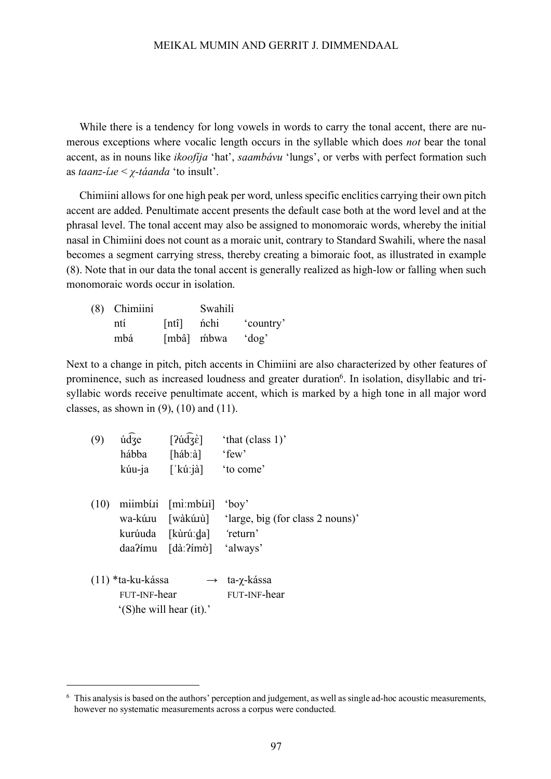While there is a tendency for long vowels in words to carry the tonal accent, there are numerous exceptions where vocalic length occurs in the syllable which does *not* bear the tonal accent, as in nouns like *ikoofíja* 'hat', *saambávu* 'lungs', or verbs with perfect formation such as *taanz-íɹe* < *χ-táanda* 'to insult'.

Chimiini allows for one high peak per word, unless specific enclitics carrying their own pitch accent are added. Penultimate accent presents the default case both at the word level and at the phrasal level. The tonal accent may also be assigned to monomoraic words, whereby the initial nasal in Chimiini does not count as a moraic unit, contrary to Standard Swahili, where the nasal becomes a segment carrying stress, thereby creating a bimoraic foot, as illustrated in example (8). Note that in our data the tonal accent is generally realized as high-low or falling when such monomoraic words occur in isolation.

| (8) Chimiini |                    | Swahili    |           |
|--------------|--------------------|------------|-----------|
| ntí          | [ntî] <i>n</i> chi |            | 'country' |
| mbá          |                    | [mbâ] mbwa | $'$ dog'  |

Next to a change in pitch, pitch accents in Chimiini are also characterized by other features of prominence, such as increased loudness and greater duration<sup>6</sup>. In isolation, disyllabic and trisyllabic words receive penultimate accent, which is marked by a high tone in all major word classes, as shown in  $(9)$ ,  $(10)$  and  $(11)$ .

| (9)  | údze                                | $[24\sqrt{3}\epsilon]$                                                                                | 'that (class 1)'                                                          |
|------|-------------------------------------|-------------------------------------------------------------------------------------------------------|---------------------------------------------------------------------------|
|      | hábba                               | [hab:à]                                                                                               | 'few'                                                                     |
|      | kúu-ja                              | $\lceil$ kú:jà]                                                                                       | 'to come'                                                                 |
| (10) | daa?ímu                             | $minb$ i $[m]$ : $m$ $i$<br>kurúuda [kùrúːda] 'return'<br>$\lceil d\hat{a} \rceil$ ?ím $\hat{\sigma}$ | $'$ boy'<br>wa-kúnu [wàkúnù] 'large, big (for class 2 nouns)'<br>'always' |
|      | $(11)$ *ta-ku-kássa<br>FUT-INF-hear | '(S) he will hear (it).'                                                                              | $\rightarrow$ ta-γ-kássa<br>FUT-INF-hear                                  |

 <sup>6</sup> This analysis is based on the authors' perception and judgement, as well as single ad-hoc acoustic measurements, however no systematic measurements across a corpus were conducted.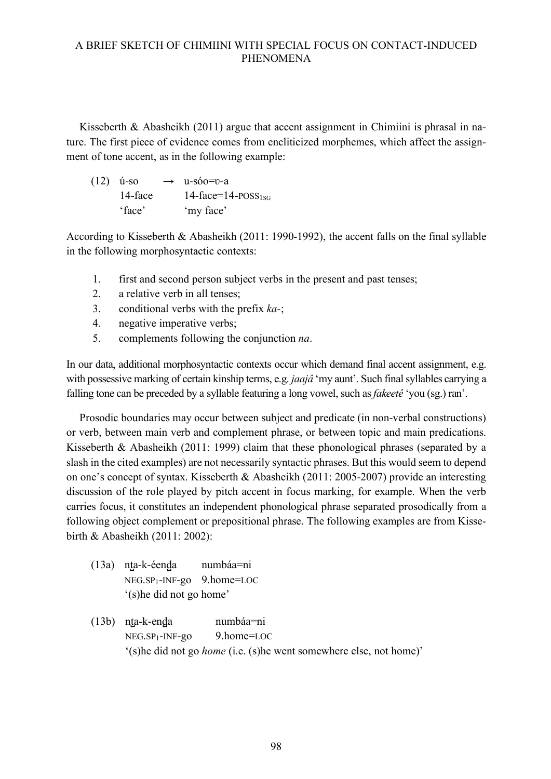Kisseberth & Abasheikh (2011) argue that accent assignment in Chimiini is phrasal in nature. The first piece of evidence comes from encliticized morphemes, which affect the assignment of tone accent, as in the following example:

| $(12)$ ú-so | $\rightarrow$ u-sóo=v-a                |
|-------------|----------------------------------------|
| 14-face     | 14-face=14- $\text{POSS}_{1\text{SG}}$ |
| 'face'      | 'my face'                              |

According to Kisseberth & Abasheikh (2011: 1990-1992), the accent falls on the final syllable in the following morphosyntactic contexts:

- 1. first and second person subject verbs in the present and past tenses;
- 2. a relative verb in all tenses;
- 3. conditional verbs with the prefix *ka-*;
- 4. negative imperative verbs;
- 5. complements following the conjunction *na*.

In our data, additional morphosyntactic contexts occur which demand final accent assignment, e.g. with possessive marking of certain kinship terms, e.g. *jaajâ* 'my aunt'. Such final syllables carrying a falling tone can be preceded by a syllable featuring a long vowel, such as *fakeetê* 'you (sg.) ran'.

Prosodic boundaries may occur between subject and predicate (in non-verbal constructions) or verb, between main verb and complement phrase, or between topic and main predications. Kisseberth & Abasheikh (2011: 1999) claim that these phonological phrases (separated by a slash in the cited examples) are not necessarily syntactic phrases. But this would seem to depend on one's concept of syntax. Kisseberth & Abasheikh (2011: 2005-2007) provide an interesting discussion of the role played by pitch accent in focus marking, for example. When the verb carries focus, it constitutes an independent phonological phrase separated prosodically from a following object complement or prepositional phrase. The following examples are from Kissebirth & Abasheikh (2011: 2002):

- (13a) nt̺a-k-éend̺a numbáa=ni NEG.SP1-INF-go 9.home=LOC '(s)he did not go home'
- (13b) nt̺a-k-end̺a numbáa=ni NEG.SP1-INF-go 9.home=LOC '(s)he did not go *home* (i.e. (s)he went somewhere else, not home)'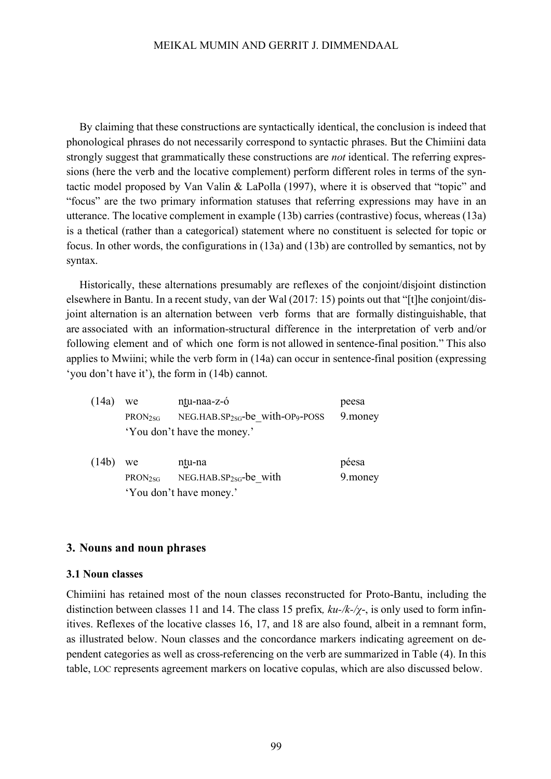By claiming that these constructions are syntactically identical, the conclusion is indeed that phonological phrases do not necessarily correspond to syntactic phrases. But the Chimiini data strongly suggest that grammatically these constructions are *not* identical. The referring expressions (here the verb and the locative complement) perform different roles in terms of the syntactic model proposed by Van Valin & LaPolla (1997), where it is observed that "topic" and "focus" are the two primary information statuses that referring expressions may have in an utterance. The locative complement in example (13b) carries (contrastive) focus, whereas (13a) is a thetical (rather than a categorical) statement where no constituent is selected for topic or focus. In other words, the configurations in (13a) and (13b) are controlled by semantics, not by syntax.

Historically, these alternations presumably are reflexes of the conjoint/disjoint distinction elsewhere in Bantu. In a recent study, van der Wal (2017: 15) points out that "[t]he conjoint/disjoint alternation is an alternation between verb forms that are formally distinguishable, that are associated with an information-structural difference in the interpretation of verb and/or following element and of which one form is not allowed in sentence-final position." This also applies to Mwiini; while the verb form in (14a) can occur in sentence-final position (expressing 'you don't have it'), the form in (14b) cannot.

| (14a) | we                  | nțu-naa-z-ó                                 | peesa   |
|-------|---------------------|---------------------------------------------|---------|
|       | PRON <sub>2SG</sub> | NEG.HAB.SP <sub>2sG</sub> -be with-OP9-POSS | 9.money |
|       |                     | 'You don't have the money.'                 |         |
| (14b) | we                  | ntu-na                                      | péesa   |
|       | PRON <sub>2SG</sub> | NEG.HAB.SP <sub>2SG</sub> -be_with          | 9.money |
|       |                     | 'You don't have money.'                     |         |

#### **3. Nouns and noun phrases**

#### **3.1 Noun classes**

Chimiini has retained most of the noun classes reconstructed for Proto-Bantu, including the distinction between classes 11 and 14. The class 15 prefix*, ku-/k-/χ*-, is only used to form infinitives. Reflexes of the locative classes 16, 17, and 18 are also found, albeit in a remnant form, as illustrated below. Noun classes and the concordance markers indicating agreement on dependent categories as well as cross-referencing on the verb are summarized in Table (4). In this table, LOC represents agreement markers on locative copulas, which are also discussed below.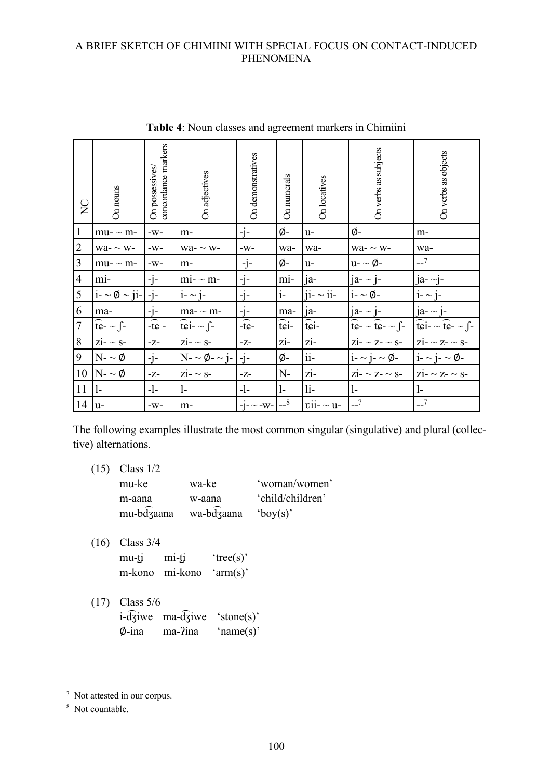| $\sum_{i=1}^{n}$ | On nouns                                                                 | concordance markers<br>On possessives | On adjectives                             | On demonstratives                  | On numerals            | On locatives           | On verbs as subjects                                                                       | On verbs as objects                                                                                   |
|------------------|--------------------------------------------------------------------------|---------------------------------------|-------------------------------------------|------------------------------------|------------------------|------------------------|--------------------------------------------------------------------------------------------|-------------------------------------------------------------------------------------------------------|
| $\mathbf{1}$     | $mu - \sim m$ -                                                          | $-W-$                                 | m-                                        | $-1-$                              | ø-                     | u-                     | Ø-                                                                                         | m-                                                                                                    |
| $\overline{2}$   | $wa - \sim w$                                                            | $-W-$                                 | $wa - \sim w$                             | $-W-$                              | wa-                    | wa-                    | $wa - \sim w$                                                                              | wa-                                                                                                   |
| $\mathfrak{Z}$   | $mu - \sim m$ -                                                          | $-W-$                                 | $m-$                                      | -j-                                | Ø-                     | $u-$                   | u- $\sim \varnothing$ -                                                                    | $-7$                                                                                                  |
| $\overline{4}$   | mi-                                                                      | -j-                                   | $mi - m$                                  | $-j-$                              | mi-                    | ja-                    | $ja - \sim j$ -                                                                            | $[a - \sim]$ -                                                                                        |
| 5                | $i - \infty \emptyset \sim  i -   -i -$                                  |                                       | $i - \sim i -$                            | $-j-$                              | $i-$                   | $ii - \sim ii -$       | $i - \infty$ $\emptyset$                                                                   | $i - \sim i$                                                                                          |
| 6                | ma-                                                                      | $-i-$                                 | ma- $\sim$ m-                             | $-i-$                              | ma-                    | $ja-$                  | $ja - j$ -                                                                                 | $ja - j$ -                                                                                            |
| $\boldsymbol{7}$ | $\widehat{\mathfrak{t}\mathfrak{e}}$ - $\sim$ $\widehat{\mathfrak{f}}$ - | $-\widehat{t}\widehat{c}$ -           | $\widehat{\text{tei}} - \underline{\int}$ | $-\widehat{\mathrm{tc}}$           | $\widehat{\text{tri}}$ | $\widehat{\text{tri}}$ | $\widehat{\mathfrak{t}\mathfrak{e}}$ - ~ $\widehat{\mathfrak{t}\mathfrak{e}}$ - ~ $\int$ - | $\widehat{\text{t}}\widehat{\text{c}}$ i- $\sim \widehat{\text{t}}\widehat{\text{c}}$ - $\sim \int$ - |
| 8                | $zi$ - $\sim$ S-                                                         | -Z-                                   | $zi$ - $\sim$ S-                          | -Z-                                | zi-                    | zi-                    | $\overline{z}$ i- ~ $\overline{z}$ - ~ S-                                                  | $\overline{\text{zi}}$ - $\sim$ Z- $\sim$ S-                                                          |
| 9                | $N - \varphi$                                                            | $-i-$                                 | $N - \varphi - \neg i$ -                  | $-i-$                              | Ø-                     | $ii-$                  | $i - \sim i - \varphi$                                                                     | $i - \sim i - \varphi$                                                                                |
| 10               | $N - \emptyset$                                                          | $-Z-$                                 | $zi - \sim s$                             | $-Z-$                              | $N-$                   | zi-                    | $Z1 - \sim Z - \sim S -$                                                                   | $\overline{z}$ i- ~ $\overline{z}$ - ~ $\overline{s}$ -                                               |
| 11               | $\vert$ -                                                                | -l-                                   | l-                                        | -1-                                | $\mathbf{1}$           | $li-$                  | $\mathbf{1}$                                                                               | $\mathbf{1}$                                                                                          |
| 14               | $u-$                                                                     | $-W-$                                 | $m-$                                      | $-1$ - $\sim$ -W- $-$ <sup>8</sup> |                        | $vii - \sim u$         | $-7$                                                                                       | $-7$                                                                                                  |

**Table 4**: Noun classes and agreement markers in Chimiini

The following examples illustrate the most common singular (singulative) and plural (collective) alternations.

- (15) Class 1/2 mu-ke wa-ke 'woman/women' m-aana w-aana 'child/children' mu-bd ͡ʒaana wa-bd ͡ʒaana 'boy(s)'
- (16) Class 3/4  $mu-tj$   $mi-tj$   $'tree(s)'$ m-kono mi-kono 'arm(s)'
- (17) Class 5/6 i-d ͡ʒiwe ma-d ͡ʒiwe 'stone(s)' ∅-ina ma-ʔina 'name(s)'

 <sup>7</sup> Not attested in our corpus.

<sup>&</sup>lt;sup>8</sup> Not countable.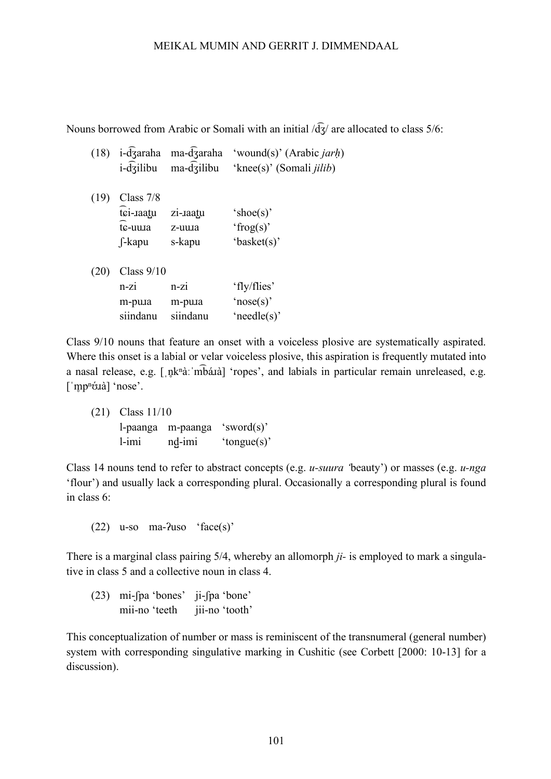Nouns borrowed from Arabic or Somali with an initial  $\sqrt{d_3}$  are allocated to class 5/6:

|  | $(18)$ i-d $\overline{3}$ araha ma-d $\overline{3}$ araha                         | 'wound(s)' (Arabic <i>jarh</i> ) |
|--|-----------------------------------------------------------------------------------|----------------------------------|
|  | $i$ - $\overline{d}$ $\overline{z}$ ilibu ma- $\overline{d}$ $\overline{z}$ ilibu | 'knee(s)' (Somali <i>jilib</i> ) |

| (19) | Class $7/8$ |          |             |
|------|-------------|----------|-------------|
|      | tci-raatu   | zi-raatu | 'shoe(s)'   |
|      | tc-uura     | z-uura   | 'frog(s)'   |
|      | f-kapu      | s-kapu   | 'basket(s)' |

| $(20)$ Class $9/10$ |          |                 |
|---------------------|----------|-----------------|
| $n-z1$              | $n-z1$   | 'fly/flies'     |
| m-pula              | m-pula   | 'nose $(s)$ '   |
| siindanu            | siindanu | 'needle $(s)$ ' |

Class 9/10 nouns that feature an onset with a voiceless plosive are systematically aspirated. Where this onset is a labial or velar voiceless plosive, this aspiration is frequently mutated into a nasal release, e.g. [ˌn̥kʰàːˈm͡báɪà] 'ropes', and labials in particular remain unreleased, e.g. ['m̥pʰóɹà] 'nose'.

(21) Class 11/10 l-paanga m-paanga 'sword(s)'  $l$ -imi nd
imi 'tongue(s)'

Class 14 nouns tend to refer to abstract concepts (e.g. *u-suura '*beauty') or masses (e.g. *u-nga* 'flour') and usually lack a corresponding plural. Occasionally a corresponding plural is found in class 6:

 $(22)$  u-so ma- $2$ uso 'face(s)'

There is a marginal class pairing 5/4, whereby an allomorph *ji-* is employed to mark a singulative in class 5 and a collective noun in class 4.

(23) mi-ʃpa 'bones' ji-ʃpa 'bone' mii-no 'teeth jii-no 'tooth'

This conceptualization of number or mass is reminiscent of the transnumeral (general number) system with corresponding singulative marking in Cushitic (see Corbett [2000: 10-13] for a discussion).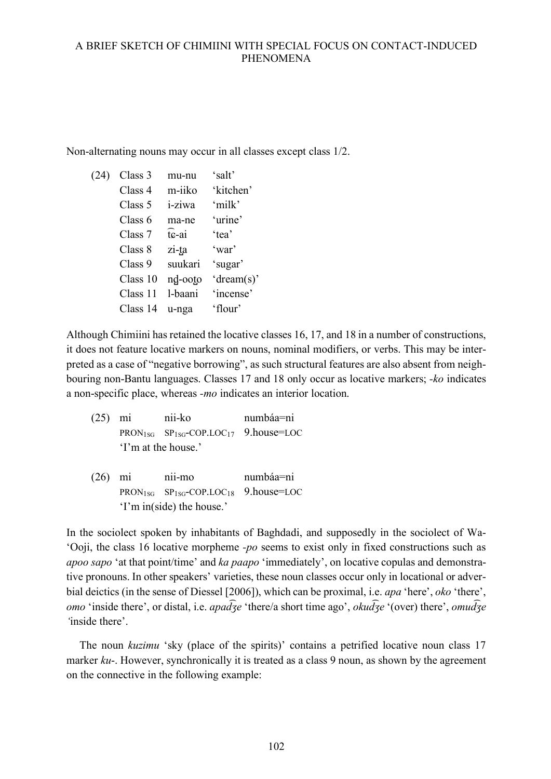Non-alternating nouns may occur in all classes except class 1/2.

(24) Class 3 mu-nu 'salt' Class 4 m-iiko 'kitchen' Class 5 i-ziwa 'milk' Class 6 ma-ne 'urine' Class 7 ͡ɕ-ai 'tea' Class 8 zi-ta 'war' Class 9 suukari 'sugar' Class 10  $\theta$ nd<sub>-ooto</sub> 'dream(s)' Class 11 l-baani 'incense' Class 14 u-nga 'flour'

Although Chimiini has retained the locative classes 16, 17, and 18 in a number of constructions, it does not feature locative markers on nouns, nominal modifiers, or verbs. This may be interpreted as a case of "negative borrowing", as such structural features are also absent from neighbouring non-Bantu languages. Classes 17 and 18 only occur as locative markers; *-ko* indicates a non-specific place, whereas *-mo* indicates an interior location.

- (25) mi nii-ko numbáa=ni PRON<sub>1SG</sub> SP<sub>1SG</sub>-COP.LOC<sub>17</sub> 9.house=LOC 'I'm at the house.'
- (26) mi nii-mo numbáa=ni PRON<sub>1SG</sub> SP<sub>1SG</sub>-COP.LOC<sub>18</sub> 9.house=LOC 'I'm in(side) the house.'

In the sociolect spoken by inhabitants of Baghdadi, and supposedly in the sociolect of Wa- 'Ooji, the class 16 locative morpheme *-po* seems to exist only in fixed constructions such as *apoo sapo* 'at that point/time' and *ka paapo* 'immediately', on locative copulas and demonstrative pronouns. In other speakers' varieties, these noun classes occur only in locational or adverbial deictics (in the sense of Diessel [2006]), which can be proximal, i.e. *apa* 'here', *oko* 'there', *omo* 'inside there', or distal, i.e. *apad* $\overline{g}e$  'there/a short time ago', *okud* $\overline{g}e$  '(over) there', *omud* $\overline{g}e$ *'*inside there'.

The noun *kuzimu* 'sky (place of the spirits)' contains a petrified locative noun class 17 marker *ku*-. However, synchronically it is treated as a class 9 noun, as shown by the agreement on the connective in the following example: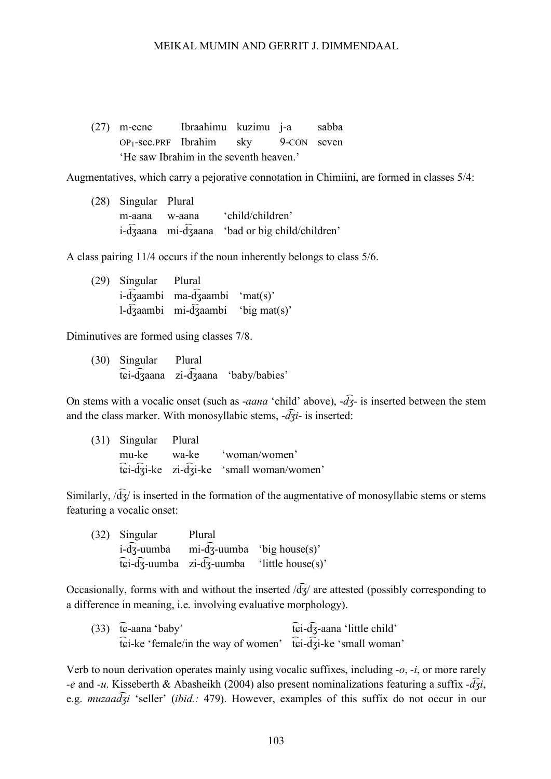(27) m-eene Ibraahimu kuzimu j-a sabba OP1-see.PRF Ibrahim sky 9-CON seven 'He saw Ibrahim in the seventh heaven.'

Augmentatives, which carry a pejorative connotation in Chimiini, are formed in classes 5/4:

(28) Singular Plural m-aana w-aana 'child/children' i-d ͡ʒaana mi-d ͡ʒaana 'bad or big child/children'

A class pairing 11/4 occurs if the noun inherently belongs to class 5/6.

(29) Singular Plural i-d ͡ʒaambi ma-d ͡ʒaambi 'mat(s)' l-d ͡ʒaambi mi-d ͡ʒaambi 'big mat(s)'

Diminutives are formed using classes 7/8.

(30) Singular Plural t ͡ɕi-d ͡ʒaana zi-d ͡ʒaana 'baby/babies'

On stems with a vocalic onset (such as -*aana* 'child' above), -*d ͡ʒ-* is inserted between the stem and the class marker. With monosyllabic stems, -*d ͡ʒi*- is inserted:

(31) Singular Plural mu-ke wa-ke 'woman/women' t ͡ɕi-d ͡ʒi-ke zi-d ͡ʒi-ke 'small woman/women'

Similarly,  $\sqrt{d_3}$  is inserted in the formation of the augmentative of monosyllabic stems or stems featuring a vocalic onset:

(32) Singular Plural i-d ͡ʒ-uumba mi-d ͡ʒ-uumba 'big house(s)'  $\widehat{\text{tei}}$ - $\widehat{\text{d}}$ -uumba 'little house(s)'

Occasionally, forms with and without the inserted  $\sqrt{d}$  are attested (possibly corresponding to a difference in meaning, i.e. involving evaluative morphology).

| $(33)$ tc-aana 'baby'                                        | $\widehat{\text{tri}}$ - $\widehat{\text{d}}$ -aana 'little child' |
|--------------------------------------------------------------|--------------------------------------------------------------------|
| tei-ke 'female/in the way of women' tei-dzi-ke 'small woman' |                                                                    |

Verb to noun derivation operates mainly using vocalic suffixes, including *-o*, *-i*, or more rarely *-e* and *-u*. Kisseberth & Abasheikh (2004) also present nominalizations featuring a suffix *-d ͡ʒi*, e.g. *muzaad ͡ʒi* 'seller' (*ibid.:* 479). However, examples of this suffix do not occur in our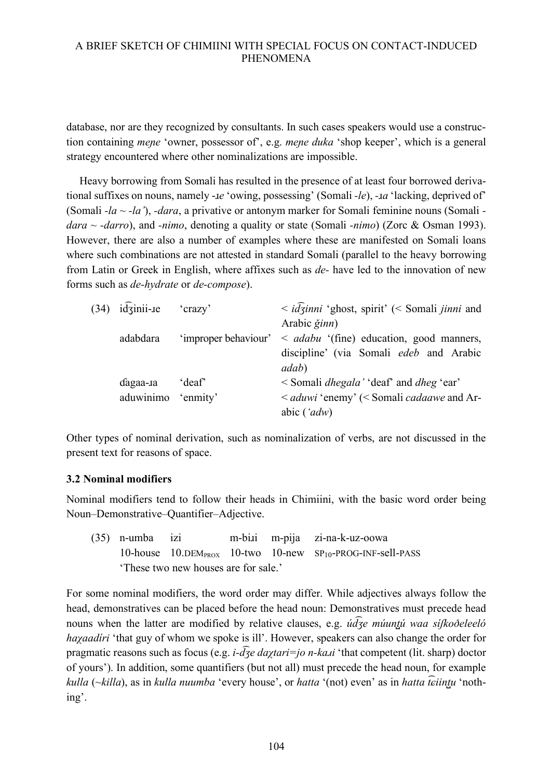database, nor are they recognized by consultants. In such cases speakers would use a construction containing *mene* 'owner, possessor of', e.g. *mene duka* 'shop keeper', which is a general strategy encountered where other nominalizations are impossible.

Heavy borrowing from Somali has resulted in the presence of at least four borrowed derivational suffixes on nouns, namely -ɹ*e* 'owing, possessing' (Somali *-le*), *-*ɹ*a* 'lacking, deprived of' (Somali *-la* ~ *-la'*), *-dara*, a privative or antonym marker for Somali feminine nouns (Somali  *dara* ~ *-darro*), and *-nimo*, denoting a quality or state (Somali *-nimo*) (Zorc & Osman 1993). However, there are also a number of examples where these are manifested on Somali loans where such combinations are not attested in standard Somali (parallel to the heavy borrowing from Latin or Greek in English, where affixes such as *de-* have led to the innovation of new forms such as *de-hydrate* or *de-compose*).

| $(34)$ id $\overline{3}$ inii-re | 'crazy'           | $\langle \alpha \cdot i \overline{d} \overline{\beta}$ <i>inni</i> 'ghost, spirit' ( $\langle$ Somali <i>jinni</i> and |
|----------------------------------|-------------------|------------------------------------------------------------------------------------------------------------------------|
|                                  |                   | Arabic ğinn)                                                                                                           |
| adabdara                         |                   | 'improper behaviour' < <i>adabu</i> '(fine) education, good manners,                                                   |
|                                  |                   | discipline' (via Somali edeb and Arabic                                                                                |
|                                  |                   | <i>adab</i> )                                                                                                          |
| dagaa-ra                         | deaf <sup>*</sup> | < Somali <i>dhegala</i> ' 'deaf' and <i>dheg</i> 'ear'                                                                 |
| aduwinimo 'enmity'               |                   | < aduwi 'enemy' (< Somali cadaawe and Ar-                                                                              |
|                                  |                   | abic $({\textdot} a d w)$                                                                                              |

Other types of nominal derivation, such as nominalization of verbs, are not discussed in the present text for reasons of space.

#### **3.2 Nominal modifiers**

Nominal modifiers tend to follow their heads in Chimiini, with the basic word order being Noun–Demonstrative–Quantifier–Adjective.

(35) n-umba izi m-biɹi m-pija zi-na-k-uz-oowa 10-house 10.DEMPROX 10-two 10-new SP10-PROG-INF-sell-PASS 'These two new houses are for sale.'

For some nominal modifiers, the word order may differ. While adjectives always follow the head, demonstratives can be placed before the head noun: Demonstratives must precede head nouns when the latter are modified by relative clauses, e.g. *úd ͡ʒe múunt̺ú waa síʃkoðeleeló hayaadiri* 'that guy of whom we spoke is ill'. However, speakers can also change the order for pragmatic reasons such as focus (e.g. *i-d ͡ʒe daχtari=jo n-kaɹi* 'that competent (lit. sharp) doctor of yours'). In addition, some quantifiers (but not all) must precede the head noun, for example *kulla* (*~killa*), as in *kulla nuumba* 'every house', or *hatta* '(not) even' as in *hatta t ͡ɕiint̺u* 'nothing'.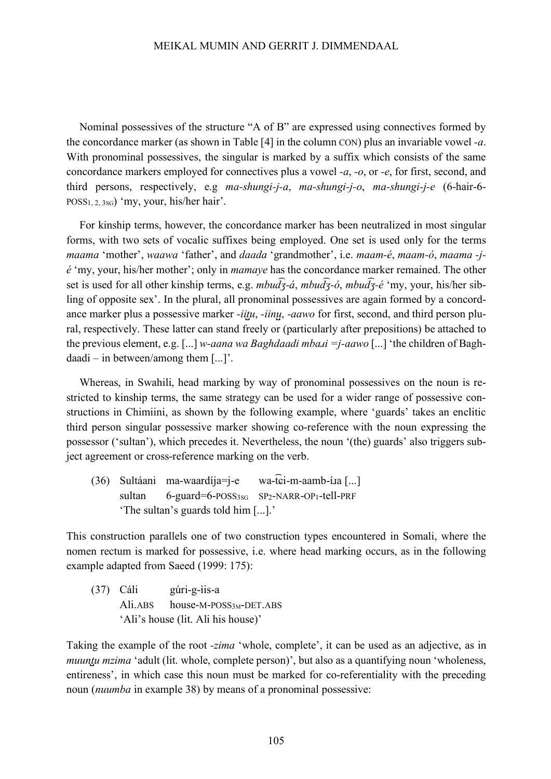Nominal possessives of the structure "A of B" are expressed using connectives formed by the concordance marker (as shown in Table [4] in the column CON) plus an invariable vowel *-a*. With pronominal possessives, the singular is marked by a suffix which consists of the same concordance markers employed for connectives plus a vowel *-a*, *-o*, or *-e*, for first, second, and third persons, respectively, e.g *ma-shungi-j-a*, *ma-shungi-j-o*, *ma-shungi-j-e* (6-hair-6- POSS<sub>1, 2, 3sG</sub>) 'my, your, his/her hair'.

For kinship terms, however, the concordance marker has been neutralized in most singular forms, with two sets of vocalic suffixes being employed. One set is used only for the terms *maama* 'mother', *waawa* 'father', and *daada* 'grandmother', i.e. *maam-é*, *maam-ó*, *maama -jé* 'my, your, his/her mother'; only in *mamaye* has the concordance marker remained. The other set is used for all other kinship terms, e.g. *mbud ͡ʒ-á*, *mbud ͡ʒ-ó*, *mbud ͡ʒ-é* 'my, your, his/her sibling of opposite sex'. In the plural, all pronominal possessives are again formed by a concordance marker plus a possessive marker *-iitu*, *-iinu*<sub>*z*</sub>, *-aawo* for first, second, and third person plural, respectively. These latter can stand freely or (particularly after prepositions) be attached to the previous element, e.g. [...] *w-aana wa Baghdaadi mbaɹi =j-aawo* [...] 'the children of Baghdaadi – in between/among them [...]'.

Whereas, in Swahili, head marking by way of pronominal possessives on the noun is restricted to kinship terms, the same strategy can be used for a wider range of possessive constructions in Chimiini, as shown by the following example, where 'guards' takes an enclitic third person singular possessive marker showing co-reference with the noun expressing the possessor ('sultan'), which precedes it. Nevertheless, the noun '(the) guards' also triggers subject agreement or cross-reference marking on the verb.

 $(36)$  Sultáani ma-waardíja=j-e wa-tci-m-aamb-í.ia [...] sultan  $6$ -guard= $6$ -POSS<sub>3SG</sub> SP<sub>2</sub>-NARR-OP<sub>1</sub>-tell-PRF 'The sultan's guards told him [...].'

This construction parallels one of two construction types encountered in Somali, where the nomen rectum is marked for possessive, i.e. where head marking occurs, as in the following example adapted from Saeed (1999: 175):

(37) Cáli gúri-g-ìis-a Ali.ABS house-M-POSS<sub>3M</sub>-DET.ABS 'Ali's house (lit. Ali his house)'

Taking the example of the root *-zima* 'whole, complete', it can be used as an adjective, as in *muuntu mzima* 'adult (lit. whole, complete person)', but also as a quantifying noun 'wholeness, entireness', in which case this noun must be marked for co-referentiality with the preceding noun (*nuumba* in example 38) by means of a pronominal possessive: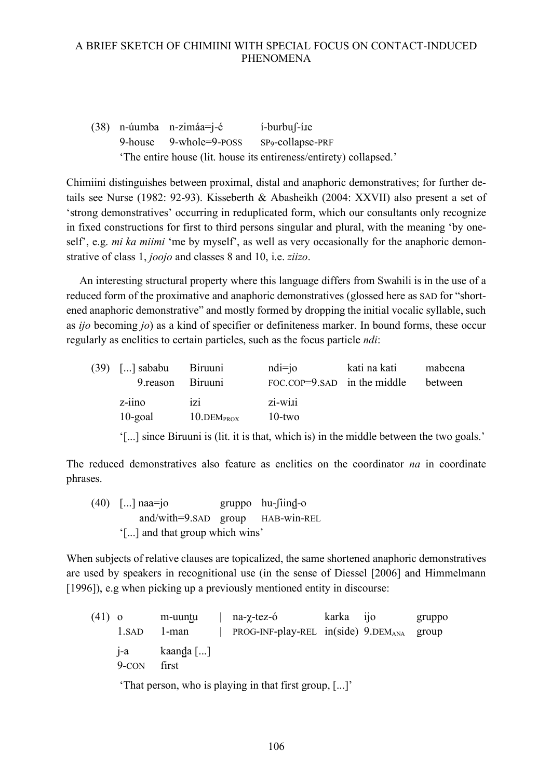$(38)$  n-úumba n-zimáa=j-é í-burbuf-í.ie 9-house 9-whole=9-POSS SP9-collapse-PRF 'The entire house (lit. house its entireness/entirety) collapsed.'

Chimiini distinguishes between proximal, distal and anaphoric demonstratives; for further details see Nurse (1982: 92-93). Kisseberth & Abasheikh (2004: XXVII) also present a set of 'strong demonstratives' occurring in reduplicated form, which our consultants only recognize in fixed constructions for first to third persons singular and plural, with the meaning 'by oneself', e.g. *mi ka miimi* 'me by myself', as well as very occasionally for the anaphoric demonstrative of class 1, *joojo* and classes 8 and 10, i.e. *ziizo*.

An interesting structural property where this language differs from Swahili is in the use of a reduced form of the proximative and anaphoric demonstratives (glossed here as SAD for "shortened anaphoric demonstrative" and mostly formed by dropping the initial vocalic syllable, such as *ijo* becoming *jo*) as a kind of specifier or definiteness marker. In bound forms, these occur regularly as enclitics to certain particles, such as the focus particle *ndi*:

| $(39)$ [] sababu Biruuni |                                | $ndi = j$                       | kati na kati | mabeena |
|--------------------------|--------------------------------|---------------------------------|--------------|---------|
| 9. reason Biruuni        |                                | FOC.COP= $9$ .SAD in the middle |              | between |
| $z$ -iino<br>$10$ -goal  | 1Z1<br>$10.$ DEM $_{\rm PROX}$ | zi-wi.ii<br>$10$ -two           |              |         |

'[...] since Biruuni is (lit. it is that, which is) in the middle between the two goals.'

The reduced demonstratives also feature as enclitics on the coordinator *na* in coordinate phrases.

 $(40)$  [...] naa=jo gruppo hu-fiind-o and/with=9.SAD group HAB-win-REL '[...] and that group which wins'

When subjects of relative clauses are topicalized, the same shortened anaphoric demonstratives are used by speakers in recognitional use (in the sense of Diessel [2006] and Himmelmann [1996]), e.g when picking up a previously mentioned entity in discourse:

(41) o m-uuntu | na- $\gamma$ -tez-ó karka ijo gruppo 1.SAD 1-man | PROG-INF-play-REL in(side) 9.DEM<sub>ANA</sub> group  $j-a$  kaanda [...] 9-CON first

'That person, who is playing in that first group, [...]'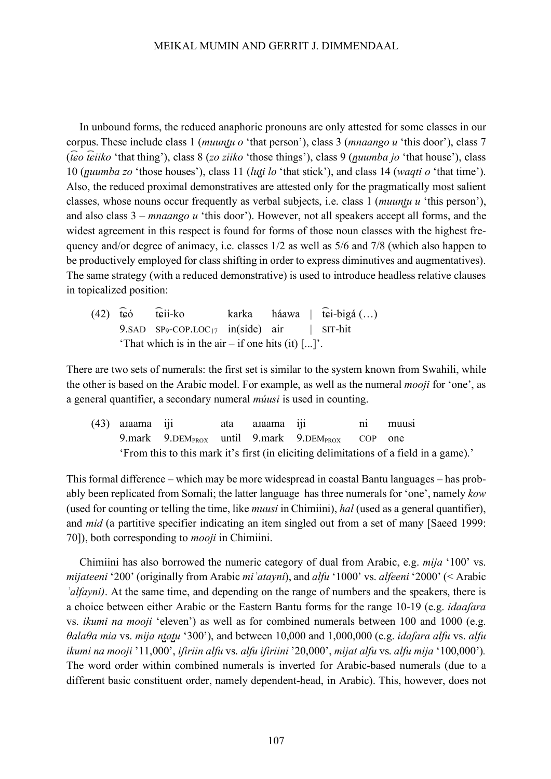In unbound forms, the reduced anaphoric pronouns are only attested for some classes in our corpus. These include class 1 (*muunt̺u o* 'that person'), class 3 (*mnaango u* 'this door'), class 7 (*t ͡ɕo t ͡ɕiiko* 'that thing'), class 8 (*zo ziiko* 'those things'), class 9 (*n̺uumba jo* 'that house'), class 10 (*n̺uumba zo* 'those houses'), class 11 (*lut̺i lo* 'that stick'), and class 14 (*waqti o* 'that time'). Also, the reduced proximal demonstratives are attested only for the pragmatically most salient classes, whose nouns occur frequently as verbal subjects, i.e. class 1 (*muunt̺u u* 'this person'), and also class 3 – *mnaango u* 'this door'). However, not all speakers accept all forms, and the widest agreement in this respect is found for forms of those noun classes with the highest frequency and/or degree of animacy, i.e. classes 1/2 as well as 5/6 and 7/8 (which also happen to be productively employed for class shifting in order to express diminutives and augmentatives). The same strategy (with a reduced demonstrative) is used to introduce headless relative clauses in topicalized position:

 $(42)$  to t ͡ɕii-ko karka háawa | t ͡ɕi-bigá (…) 9.SAD  $SP_9$ -COP.LOC<sub>17</sub> in(side) air | SIT-hit 'That which is in the air – if one hits  $(it)$  [...]'.

There are two sets of numerals: the first set is similar to the system known from Swahili, while the other is based on the Arabic model. For example, as well as the numeral *mooji* for 'one', as a general quantifier, a secondary numeral *múusi* is used in counting.

(43) aɹaama iji ata aɹaama iji ni muusi 9.mark 9.DEM $_{\text{PROX}}$  until 9.mark 9.DEM $_{\text{PROX}}$  COP one 'From this to this mark it's first (in eliciting delimitations of a field in a game).'

This formal difference – which may be more widespread in coastal Bantu languages – has probably been replicated from Somali; the latter language has three numerals for 'one', namely *kow* (used for counting or telling the time, like *muusi* in Chimiini), *hal* (used as a general quantifier), and *mid* (a partitive specifier indicating an item singled out from a set of many [Saeed 1999: 70]), both corresponding to *mooji* in Chimiini.

Chimiini has also borrowed the numeric category of dual from Arabic, e.g. *mija* '100' vs. *mijateeni* '200' (originally from Arabic *miʾatayni*), and *alfu* '1000' vs. *alfeeni* '2000' (< Arabic *d*<sup>*alfayni*). At the same time, and depending on the range of numbers and the speakers, there is</sup> a choice between either Arabic or the Eastern Bantu forms for the range 10-19 (e.g. *idaaʃara* vs. *ikumi na mooji* 'eleven') as well as for combined numerals between 100 and 1000 (e.g. *θalaθa mia* vs. *mija nt̺at̺u* '300'), and between 10,000 and 1,000,000 (e.g. *idaʃara alfu* vs. *alfu ikumi na mooji* '11,000', *iʃiriin alfu* vs. *alfu iʃiriini* '20,000', *mijat alfu* vs. *alfu mija* '100,000')*.* The word order within combined numerals is inverted for Arabic-based numerals (due to a different basic constituent order, namely dependent-head, in Arabic). This, however, does not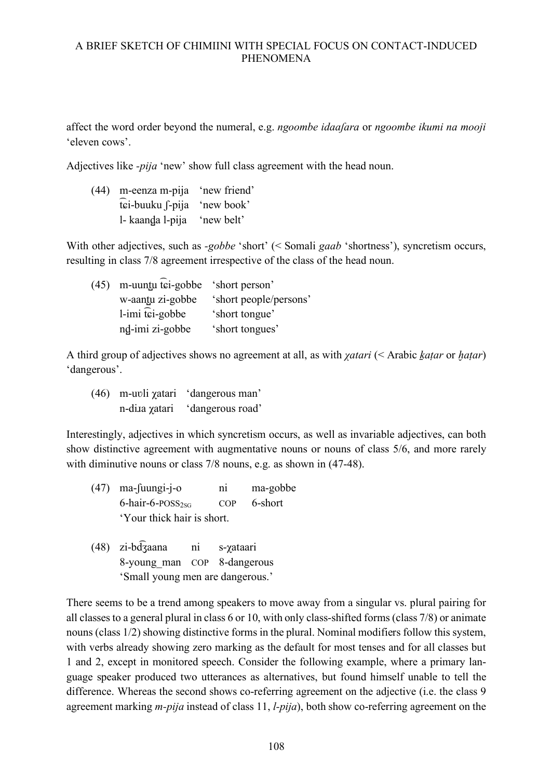affect the word order beyond the numeral, e.g. *ngoombe idaaʃara* or *ngoombe ikumi na mooji* 'eleven cows'.

Adjectives like *-pija* 'new' show full class agreement with the head noun.

| $(44)$ m-eenza m-pija 'new friend' |  |
|------------------------------------|--|
| tei-buuku f-pija 'new book'        |  |
| l- kaanda l-pija 'new belt'        |  |

With other adjectives, such as *-gobbe* 'short' (< Somali *gaab* 'shortness'), syncretism occurs, resulting in class 7/8 agreement irrespective of the class of the head noun.

| (45) m-uuntu tei-gobbe 'short person' |                        |
|---------------------------------------|------------------------|
| w-aantu zi-gobbe                      | 'short people/persons' |
| $l$ -imi $\widehat{t}$ ci-gobbe       | 'short tongue'         |
| nd-imi zi-gobbe                       | 'short tongues'        |

A third group of adjectives shows no agreement at all, as with *χatari* (< Arabic *k̠aṭar* or *ḫaṭar*) 'dangerous'.

(46) m-uʋli χatari 'dangerous man' n-dia *χ*atari 'dangerous road'

Interestingly, adjectives in which syncretism occurs, as well as invariable adjectives, can both show distinctive agreement with augmentative nouns or nouns of class 5/6, and more rarely with diminutive nouns or class 7/8 nouns, e.g. as shown in (47-48).

- (47) ma-ʃuungi-j-o ni ma-gobbe  $6$ -hair- $6$ -POSS<sub>2sG</sub> COP  $6$ -short 'Your thick hair is short.
- (48) zi-bd ni s-*γataari* 8-young\_man COP 8-dangerous 'Small young men are dangerous.'

There seems to be a trend among speakers to move away from a singular vs. plural pairing for all classes to a general plural in class 6 or 10, with only class-shifted forms (class 7/8) or animate nouns (class 1/2) showing distinctive forms in the plural. Nominal modifiers follow this system, with verbs already showing zero marking as the default for most tenses and for all classes but 1 and 2, except in monitored speech. Consider the following example, where a primary language speaker produced two utterances as alternatives, but found himself unable to tell the difference. Whereas the second shows co-referring agreement on the adjective (i.e. the class 9 agreement marking *m-pija* instead of class 11, *l-pija*), both show co-referring agreement on the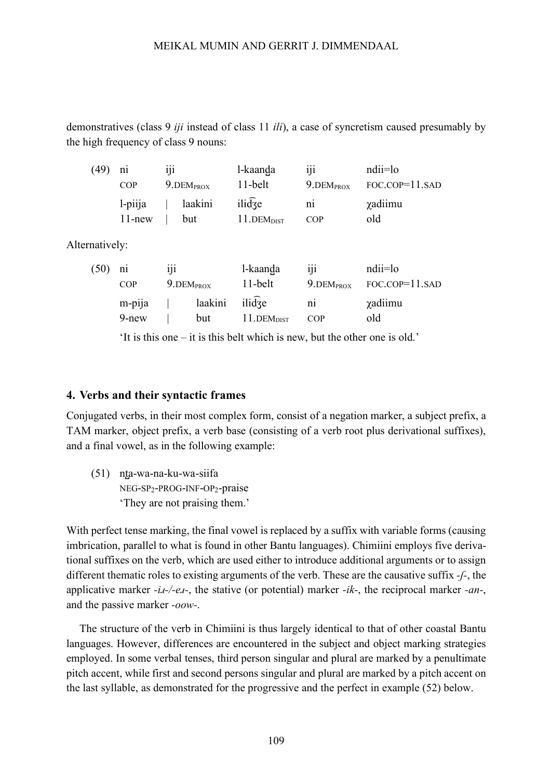demonstratives (class 9 *iji* instead of class 11 *ili*), a case of syncretism caused presumably by the high frequency of class 9 nouns:

| (49) | n <sub>1</sub>          | 111                |                | l-kaanda                                                            | 111                   | ndii=lo                    |
|------|-------------------------|--------------------|----------------|---------------------------------------------------------------------|-----------------------|----------------------------|
|      | <b>COP</b>              | $9.$ DEM $_{PROX}$ |                | 11-belt                                                             | $9.$ DEM $_{PROX}$    | $FOC$ . $COP = 11$ . $SAD$ |
|      | $1$ -piija<br>$11$ -new |                    | laakini<br>but | $ili$ $\overline{d}$ $\overline{f}$ $e$<br>$11.DEM$ <sub>DIST</sub> | n <sub>1</sub><br>COP | <i>x</i> adiimu<br>old     |

Alternatively:

| (50) | n <sub>1</sub>         | 111                      |                       | l-kaanda               | 111                      | ndii=lo              |
|------|------------------------|--------------------------|-----------------------|------------------------|--------------------------|----------------------|
|      | <b>COP</b>             | $9.$ DEM <sub>PROX</sub> |                       | 11-belt                | $9.$ DEM <sub>PROX</sub> | $FOC. COP = 11. SAD$ |
|      | . .<br>m-pija<br>9-new |                          | laakini ilidze<br>but | 11.DEM <sub>DIST</sub> | n <sub>1</sub><br>COP    | χadiimu<br>old       |

'It is this one – it is this belt which is new, but the other one is old.'

#### **4. Verbs and their syntactic frames**

Conjugated verbs, in their most complex form, consist of a negation marker, a subject prefix, a TAM marker, object prefix, a verb base (consisting of a verb root plus derivational suffixes), and a final vowel, as in the following example:

(51) nt̺a-wa-na-ku-wa-siifa NEG-SP2-PROG-INF-OP2-praise 'They are not praising them.'

With perfect tense marking, the final vowel is replaced by a suffix with variable forms (causing imbrication, parallel to what is found in other Bantu languages). Chimiini employs five derivational suffixes on the verb, which are used either to introduce additional arguments or to assign different thematic roles to existing arguments of the verb. These are the causative suffix *-ʃ-*, the applicative marker *-iɹ-/-eɹ-*, the stative (or potential) marker *-ik-*, the reciprocal marker *-an-*, and the passive marker *-oow-*.

The structure of the verb in Chimiini is thus largely identical to that of other coastal Bantu languages. However, differences are encountered in the subject and object marking strategies employed. In some verbal tenses, third person singular and plural are marked by a penultimate pitch accent, while first and second persons singular and plural are marked by a pitch accent on the last syllable, as demonstrated for the progressive and the perfect in example (52) below.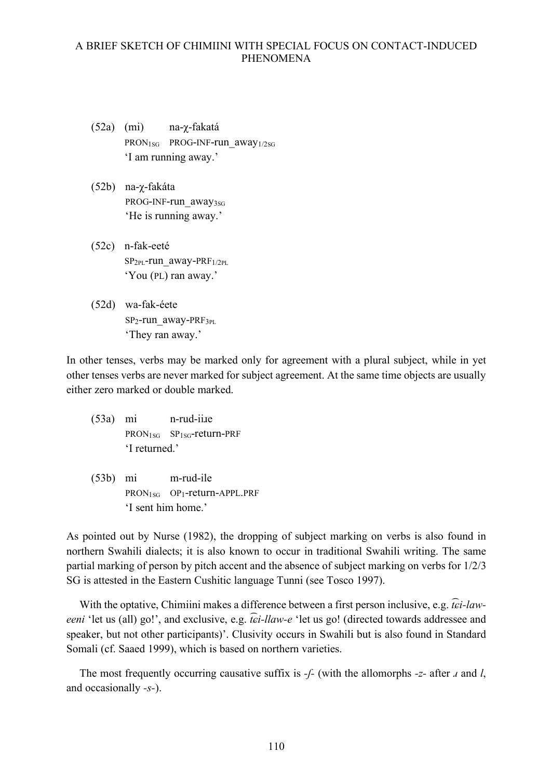- (52a) (mi) na-χ-fakatá PRON<sub>1SG</sub> PROG-INF-run\_away<sub>1/2SG</sub> 'I am running away.'
- (52b) na-χ-fakáta PROG-INF-run\_away<sub>3SG</sub> 'He is running away.'
- (52c) n-fak-eeté SP2PL-run\_away-PRF1/2PL 'You (PL) ran away.'
- (52d) wa-fak-éete SP2-run\_away-PRF3PL 'They ran away.'

In other tenses, verbs may be marked only for agreement with a plural subject, while in yet other tenses verbs are never marked for subject agreement. At the same time objects are usually either zero marked or double marked.

- (53a) mi n-rud-iiɹe PRON1SG SP1SG-return-PRF 'I returned.'
- (53b) mi m-rud-ile PRON1SG OP1-return-APPL.PRF 'I sent him home.'

As pointed out by Nurse (1982), the dropping of subject marking on verbs is also found in northern Swahili dialects; it is also known to occur in traditional Swahili writing. The same partial marking of person by pitch accent and the absence of subject marking on verbs for 1/2/3 SG is attested in the Eastern Cushitic language Tunni (see Tosco 1997).

With the optative, Chimiini makes a difference between a first person inclusive, e.g. *t ͡ɕi-laweeni* 'let us (all) go!', and exclusive, e.g. *t ͡ɕi-llaw-e* 'let us go! (directed towards addressee and speaker, but not other participants)'. Clusivity occurs in Swahili but is also found in Standard Somali (cf. Saaed 1999), which is based on northern varieties.

The most frequently occurring causative suffix is *-ʃ-* (with the allomorphs *-z-* after *ɹ* and *l*, and occasionally *-s-*).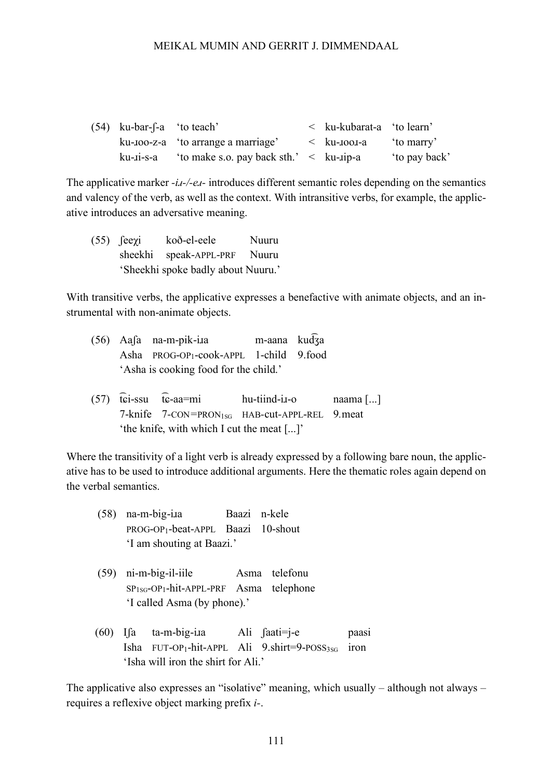| $(54)$ ku-bar-f-a 'to teach' |                                                                 | $\le$ ku-kubarat-a 'to learn' |              |
|------------------------------|-----------------------------------------------------------------|-------------------------------|--------------|
|                              | ku-ioo-z-a 'to arrange a marriage'                              | $\langle$ ku-1001-a           | to marry     |
|                              | ku- $\mu$ -i-s-a 'to make s.o. pay back sth.' < ku- $\mu$ -ip-a |                               | to pay back' |

The applicative marker *-iɹ-/-eɹ-* introduces different semantic roles depending on the semantics and valency of the verb, as well as the context. With intransitive verbs, for example, the applicative introduces an adversative meaning.

(55) ʃeeχi koð-el-eele Nuuru sheekhi speak-APPL-PRF Nuuru 'Sheekhi spoke badly about Nuuru.'

With transitive verbs, the applicative expresses a benefactive with animate objects, and an instrumental with non-animate objects.

|  |  | m-aana kud3a            |                                                                                              |
|--|--|-------------------------|----------------------------------------------------------------------------------------------|
|  |  |                         |                                                                                              |
|  |  |                         |                                                                                              |
|  |  | $(56)$ Aasa na-m-pik-i. | Asha PROG-OP <sub>1</sub> -cook-APPL 1-child 9.food<br>'Asha is cooking food for the child.' |

 $(57)$  tei-ssu t hu-tiind-i.s-o naama [...] 7-knife 7*-*CON*=*PRON1SG HAB*-*cut*-*APPL-REL 9*.*meat 'the knife, with which I cut the meat [...]'

Where the transitivity of a light verb is already expressed by a following bare noun, the applicative has to be used to introduce additional arguments. Here the thematic roles again depend on the verbal semantics.

- (58) na-m-big-iɹa Baazi n-kele PROG-OP1-beat-APPL Baazi 10-shout 'I am shouting at Baazi.'
- (59) ni-m-big-il-iile Asma telefonu SP1SG-OP1-hit-APPL-PRF Asma telephone 'I called Asma (by phone).'
- (60) Iʃa ta-m-big-iɹa Ali ʃaati=j-e paasi Isha FUT-OP<sub>1</sub>-hit-APPL Ali  $9.$ shirt=9-POSS<sub>3SG</sub> iron 'Isha will iron the shirt for Ali.'

The applicative also expresses an "isolative" meaning, which usually – although not always – requires a reflexive object marking prefix *i-*.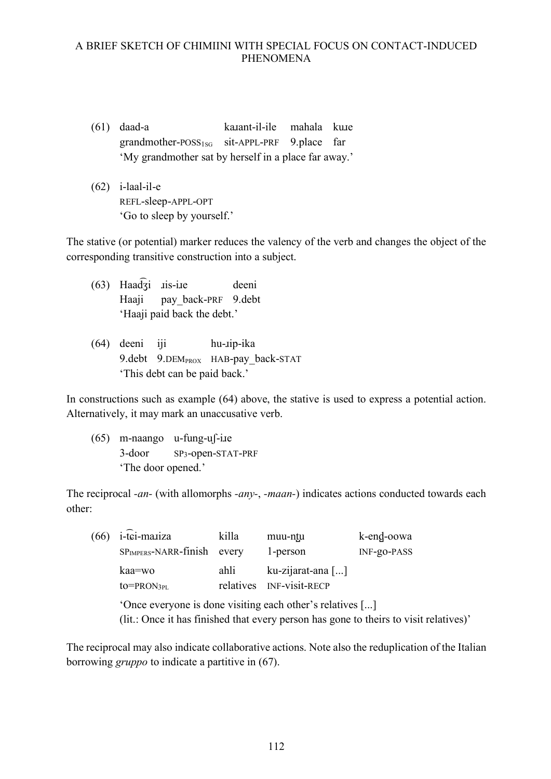- (61) daad-a kanant-il-ile mahala kuue grandmother-POSS<sub>1sG</sub> sit-APPL-PRF 9.place far 'My grandmother sat by herself in a place far away.'
- (62) i-laal-il-e REFL-sleep-APPL-OPT 'Go to sleep by yourself.'

The stative (or potential) marker reduces the valency of the verb and changes the object of the corresponding transitive construction into a subject.

- (63) Haad ͡ʒi ɹis-iɹe deeni Haaji pay\_back-PRF 9.debt 'Haaji paid back the debt.'
- (64) deeni iji hu-ɹip-ika 9.debt 9.DEM<sub>PROX</sub> HAB-pay back-STAT 'This debt can be paid back.'

In constructions such as example (64) above, the stative is used to express a potential action. Alternatively, it may mark an unaccusative verb.

 $(65)$  m-naango u-fung-uf-ine 3-door SP3-open-STAT-PRF 'The door opened.'

The reciprocal *-an-* (with allomorphs *-any-*, *-maan-*) indicates actions conducted towards each other:

| (66) | i-tei-mariza                                                                                                                                       | killa             | muu-ntu                                    | k-end-oowa  |  |  |
|------|----------------------------------------------------------------------------------------------------------------------------------------------------|-------------------|--------------------------------------------|-------------|--|--|
|      | $SPIMPERS - NARR-finish$ every                                                                                                                     |                   | 1-person                                   | INF-go-PASS |  |  |
|      | kaa=wo<br>$to=PRON3PL$                                                                                                                             | ahli<br>relatives | ku-zijarat-ana []<br><b>INF-visit-RECP</b> |             |  |  |
|      | 'Once everyone is done visiting each other's relatives []<br>(lit.: Once it has finished that every person has gone to theirs to visit relatives)' |                   |                                            |             |  |  |

The reciprocal may also indicate collaborative actions. Note also the reduplication of the Italian borrowing *gruppo* to indicate a partitive in (67).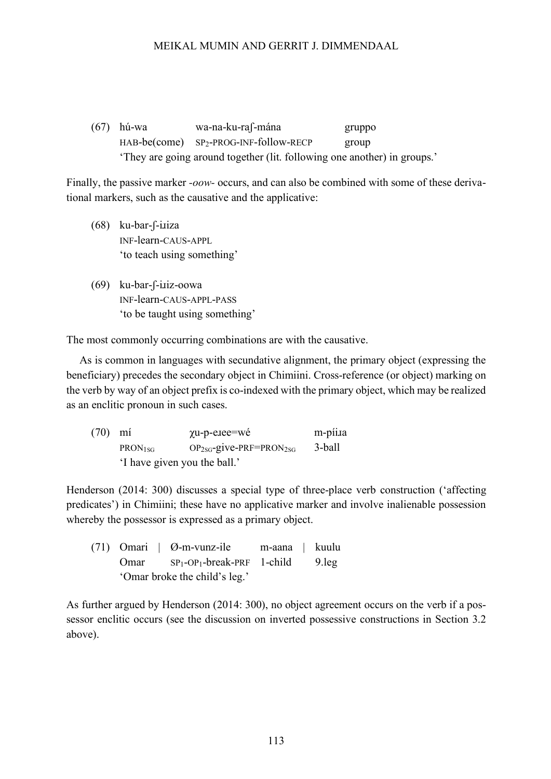(67) hú-wa wa-na-ku-raʃ-mána gruppo HAB-be(come) SP<sub>2</sub>-PROG-INF-follow-RECP group 'They are going around together (lit. following one another) in groups.'

Finally, the passive marker *-oow-* occurs, and can also be combined with some of these derivational markers, such as the causative and the applicative:

- $(68)$  ku-bar-f-i.iiza INF-learn-CAUS-APPL 'to teach using something'
- (69) ku-bar-ʃ-iɹiz-oowa INF-learn-CAUS-APPL-PASS 'to be taught using something'

The most commonly occurring combinations are with the causative.

As is common in languages with secundative alignment, the primary object (expressing the beneficiary) precedes the secondary object in Chimiini. Cross-reference (or object) marking on the verb by way of an object prefix is co-indexed with the primary object, which may be realized as an enclitic pronoun in such cases.

| $(70)$ mi |                              | $\chi$ u-p-e.iee=wé                      | m-píi.ra |  |
|-----------|------------------------------|------------------------------------------|----------|--|
|           | PRON <sub>1SG</sub>          | $OP_{2SG}$ -give-PRF=PRON <sub>2SG</sub> | 3-ball   |  |
|           | 'I have given you the ball.' |                                          |          |  |

Henderson (2014: 300) discusses a special type of three-place verb construction ('affecting predicates') in Chimiini; these have no applicative marker and involve inalienable possession whereby the possessor is expressed as a primary object.

(71) Omari | Ø-m-vunz-ile m-aana | kuulu Omar SP<sub>1</sub>-OP<sub>1</sub>-break-PRF 1-child 9.leg 'Omar broke the child's leg.'

As further argued by Henderson (2014: 300), no object agreement occurs on the verb if a possessor enclitic occurs (see the discussion on inverted possessive constructions in Section 3.2 above).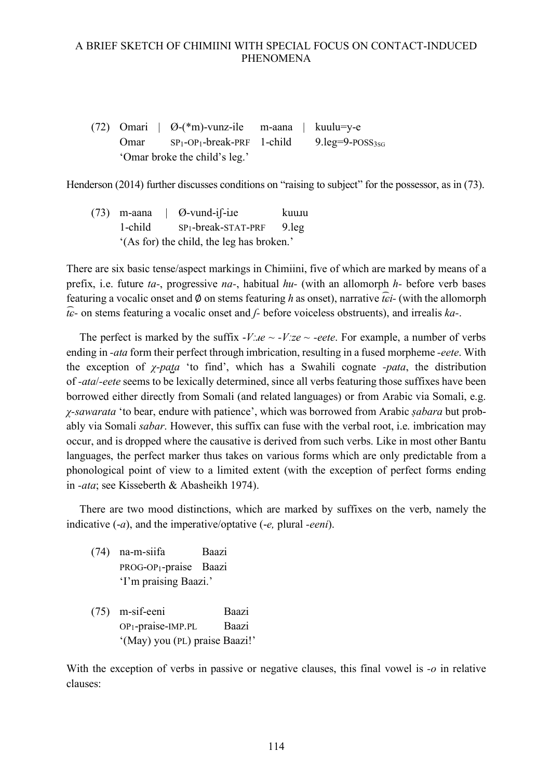(72) Omari  $\theta$ -(\*m)-vunz-ile m-aana kuulu=y-e Omar  $SP_1-OP_1$ -break-PRF 1-child 9.leg=9-POSS<sub>3SG</sub> 'Omar broke the child's leg.'

Henderson (2014) further discusses conditions on "raising to subject" for the possessor, as in (73).

 $(73)$  m-aana | Ø-vund-i $\int$ -ile kuulu 1-child SP1-break-STAT-PRF 9.leg '(As for) the child, the leg has broken.'

There are six basic tense/aspect markings in Chimiini, five of which are marked by means of a prefix, i.e. future *ta-*, progressive *na-*, habitual *hu-* (with an allomorph *h-* before verb bases featuring a vocalic onset and ∅ on stems featuring *h* as onset), narrative *t ͡ɕi-* (with the allomorph *t ͡ɕ-* on stems featuring a vocalic onset and *ʃ-* before voiceless obstruents), and irrealis *ka-*.

The perfect is marked by the suffix  $-V/a \sim -V/a$  *ze ~ -eete*. For example, a number of verbs ending in *-ata* form their perfect through imbrication, resulting in a fused morpheme *-eete*. With the exception of *χ-pat̺a* 'to find', which has a Swahili cognate *-pata*, the distribution of *-ata*/*-eete* seems to be lexically determined, since all verbs featuring those suffixes have been borrowed either directly from Somali (and related languages) or from Arabic via Somali, e.g. *χ-sawarata* 'to bear, endure with patience', which was borrowed from Arabic *ṣabara* but probably via Somali *sabar*. However, this suffix can fuse with the verbal root, i.e. imbrication may occur, and is dropped where the causative is derived from such verbs. Like in most other Bantu languages, the perfect marker thus takes on various forms which are only predictable from a phonological point of view to a limited extent (with the exception of perfect forms ending in *-ata*; see Kisseberth & Abasheikh 1974).

There are two mood distinctions, which are marked by suffixes on the verb, namely the indicative (-*a*), and the imperative/optative (-*e,* plural *-eeni*).

- (74) na-m-siifa Baazi PROG-OP1-praise Baazi 'I'm praising Baazi.'
- (75) m-sif-eeni Baazi OP1-praise-IMP.PL Baazi '(May) you (PL) praise Baazi!'

With the exception of verbs in passive or negative clauses, this final vowel is *-o* in relative clauses: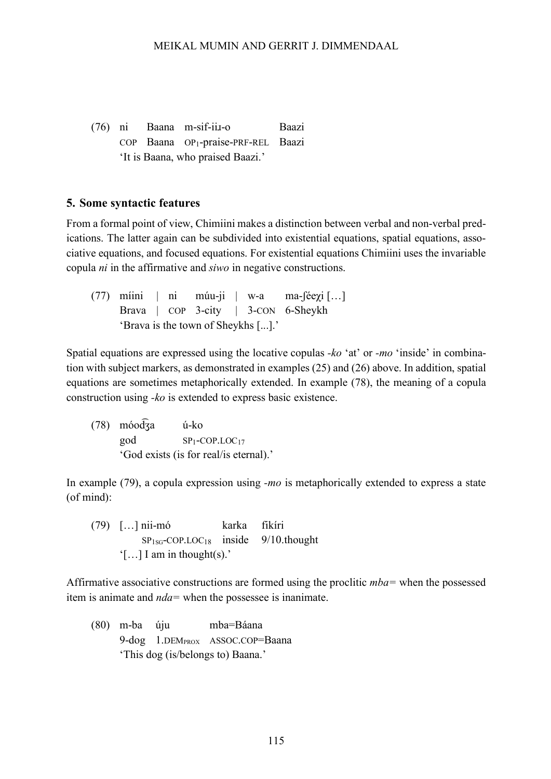(76) ni Baana m-sif-iiɹ-o Baazi COP Baana OP1-praise-PRF-REL Baazi 'It is Baana, who praised Baazi.'

#### **5. Some syntactic features**

From a formal point of view, Chimiini makes a distinction between verbal and non-verbal predications. The latter again can be subdivided into existential equations, spatial equations, associative equations, and focused equations. For existential equations Chimiini uses the invariable copula *ni* in the affirmative and *siwo* in negative constructions.

(77) míini | ni múu-ji | w-a ma- $[ee\gamma i]$ ...] Brava | COP 3-city | 3-CON 6-Sheykh 'Brava is the town of Sheykhs [...].'

Spatial equations are expressed using the locative copulas *-ko* 'at' or *-mo* 'inside' in combination with subject markers, as demonstrated in examples (25) and (26) above. In addition, spatial equations are sometimes metaphorically extended. In example (78), the meaning of a copula construction using *-ko* is extended to express basic existence.

(78) móod ú-ko god SP1-COP.LOC17 'God exists (is for real/is eternal).'

In example (79), a copula expression using *-mo* is metaphorically extended to express a state (of mind):

(79) […] nii-mó karka fikíri  $SP<sub>1SG</sub>-COP.LOC<sub>18</sub>$  inside 9/10.thought '[…] I am in thought(s).'

Affirmative associative constructions are formed using the proclitic *mba=* when the possessed item is animate and *nda=* when the possessee is inanimate.

(80) m-ba úju mba=Báana 9-dog 1.DEM<sub>PROX</sub> ASSOC.COP=Baana 'This dog (is/belongs to) Baana.'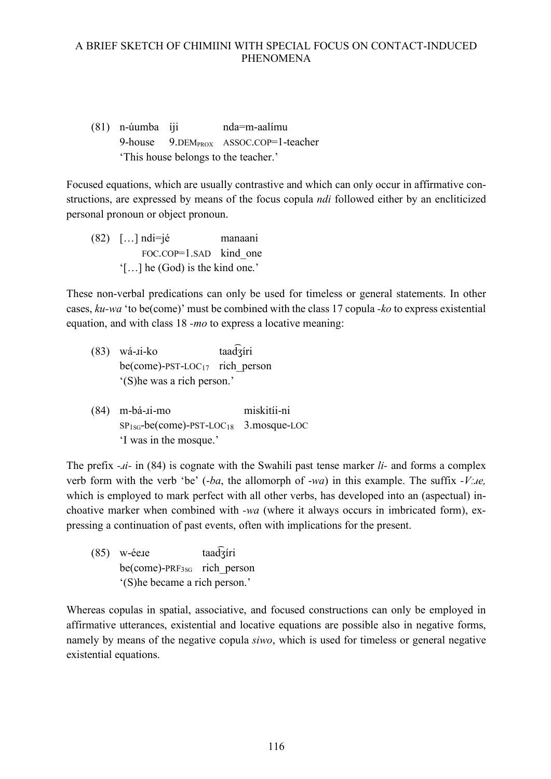(81) n-úumba íji nda=m-aalímu 9-house 9.DEM<sub>PROX</sub> ASSOC.COP=1-teacher 'This house belongs to the teacher.'

Focused equations, which are usually contrastive and which can only occur in affirmative constructions, are expressed by means of the focus copula *ndi* followed either by an encliticized personal pronoun or object pronoun.

(82) […] ndi=jé manaani FOC.COP=1.SAD kind one '[…] he (God) is the kind one.'

These non-verbal predications can only be used for timeless or general statements. In other cases, *ku-wa* 'to be(come)' must be combined with the class 17 copula *-ko* to express existential equation, and with class 18 *-mo* to express a locative meaning:

- $(83)$  wá- $\text{ii-ko}$ taadaíri  $be(\text{come})$ -PST-LOC<sub>17</sub> rich person '(S)he was a rich person.'
- (84) m-bá-ɹi-mo miskitíi-ni SP1SG-be(come)-PST-LOC18 3.mosque-LOC 'I was in the mosque.'

The prefix *-ɹi-* in (84) is cognate with the Swahili past tense marker *li-* and forms a complex verb form with the verb 'be' (-*ba*, the allomorph of -*wa*) in this example. The suffix *-Vːɹe,* which is employed to mark perfect with all other verbs, has developed into an (aspectual) inchoative marker when combined with *-wa* (where it always occurs in imbricated form), expressing a continuation of past events, often with implications for the present.

 $(85)$  w-ée te taadzíri  $be(\text{come})$ -PRF<sub>3SG</sub> rich person '(S)he became a rich person.'

Whereas copulas in spatial, associative, and focused constructions can only be employed in affirmative utterances, existential and locative equations are possible also in negative forms, namely by means of the negative copula *siwo*, which is used for timeless or general negative existential equations.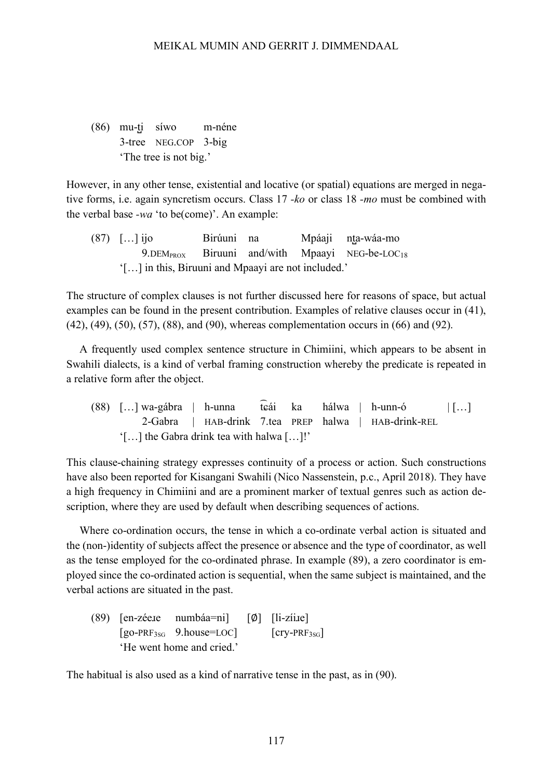(86) mu-t̺i síwo m-néne 3-tree NEG.COP 3-big 'The tree is not big.'

However, in any other tense, existential and locative (or spatial) equations are merged in negative forms, i.e. again syncretism occurs. Class 17 *-ko* or class 18 *-mo* must be combined with the verbal base *-wa* 'to be(come)'. An example:

(87) […] ijo Birúuni na Mpáaji nta-wáa-mo  $9.$ DEM $_{PROX}$  Biruuni and/with Mpaayi NEG-be-LOC<sub>18</sub> '[…] in this, Biruuni and Mpaayi are not included.'

The structure of complex clauses is not further discussed here for reasons of space, but actual examples can be found in the present contribution. Examples of relative clauses occur in (41), (42), (49), (50), (57), (88), and (90), whereas complementation occurs in (66) and (92).

A frequently used complex sentence structure in Chimiini, which appears to be absent in Swahili dialects, is a kind of verbal framing construction whereby the predicate is repeated in a relative form after the object.

(88) […] wa-gábra | h-unna t  $\text{ka}$  hálwa | h-unn-ó | [...] 2-Gabra | HAB-drink 7.tea PREP halwa | HAB-drink-REL '[…] the Gabra drink tea with halwa […]ǃ'

This clause-chaining strategy expresses continuity of a process or action. Such constructions have also been reported for Kisangani Swahili (Nico Nassenstein, p.c., April 2018). They have a high frequency in Chimiini and are a prominent marker of textual genres such as action description, where they are used by default when describing sequences of actions.

Where co-ordination occurs, the tense in which a co-ordinate verbal action is situated and the (non-)identity of subjects affect the presence or absence and the type of coordinator, as well as the tense employed for the co-ordinated phrase. In example (89), a zero coordinator is employed since the co-ordinated action is sequential, when the same subject is maintained, and the verbal actions are situated in the past.

(89) [en-zéeɹe numbáa=ni] [∅] [li-zíiɹe]  $[go-PRF<sub>3SG</sub> 9.house=LOC]$   $[cry-PRF<sub>3SG</sub>]$ 'He went home and cried.'

The habitual is also used as a kind of narrative tense in the past, as in (90).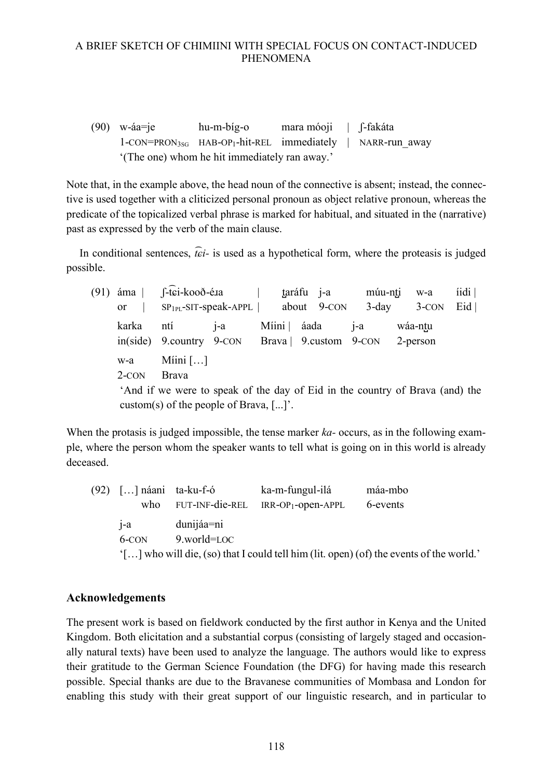(90) w-áa=je hu-m-bíg-o mara móoji | ʃ-fakáta 1-CON=PRON3SG HAB-OP1-hit-REL immediately | NARR-run\_away '(The one) whom he hit immediately ran away.'

Note that, in the example above, the head noun of the connective is absent; instead, the connective is used together with a cliticized personal pronoun as object relative pronoun, whereas the predicate of the topicalized verbal phrase is marked for habitual, and situated in the (narrative) past as expressed by the verb of the main clause.

In conditional sentences,  $\hat{t}$ *ci*- is used as a hypothetical form, where the proteasis is judged possible.

 $(91)$  áma ͡ɕi-kooð-éɹa | t̺aráfu j-a múu-nt̺i w-a íidi | or |  $SP_{1PL}$ -SIT-speak-APPL | about 9-CON 3-day 3-CON Eid | karka ntí j-a Míini | áada j-a wáa-nt̺u in(side) 9.country 9-CON Brava | 9.custom 9-CON 2-person w-a Míini […] 2-CON Brava 'And if we were to speak of the day of Eid in the country of Brava (and) the custom(s) of the people of Brava,  $[\dots]$ .

When the protasis is judged impossible, the tense marker *ka-* occurs, as in the following example, where the person whom the speaker wants to tell what is going on in this world is already deceased.

(92) […] náani ta-ku-f-ó ka-m-fungul-ilá máa-mbo who FUT-INF-die-REL IRR-OP1-open-APPL 6-events j-a dunijáa=ni 6-CON 9.world=LOC '[…] who will die, (so) that I could tell him (lit. open) (of) the events of the world.'

# **Acknowledgements**

The present work is based on fieldwork conducted by the first author in Kenya and the United Kingdom. Both elicitation and a substantial corpus (consisting of largely staged and occasionally natural texts) have been used to analyze the language. The authors would like to express their gratitude to the German Science Foundation (the DFG) for having made this research possible. Special thanks are due to the Bravanese communities of Mombasa and London for enabling this study with their great support of our linguistic research, and in particular to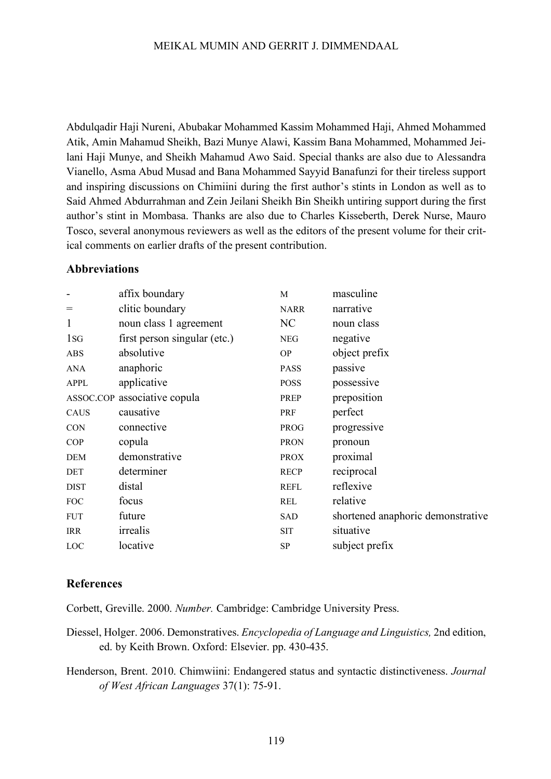Abdulqadir Haji Nureni, Abubakar Mohammed Kassim Mohammed Haji, Ahmed Mohammed Atik, Amin Mahamud Sheikh, Bazi Munye Alawi, Kassim Bana Mohammed, Mohammed Jeilani Haji Munye, and Sheikh Mahamud Awo Said. Special thanks are also due to Alessandra Vianello, Asma Abud Musad and Bana Mohammed Sayyid Banafunzi for their tireless support and inspiring discussions on Chimiini during the first author's stints in London as well as to Said Ahmed Abdurrahman and Zein Jeilani Sheikh Bin Sheikh untiring support during the first author's stint in Mombasa. Thanks are also due to Charles Kisseberth, Derek Nurse, Mauro Tosco, several anonymous reviewers as well as the editors of the present volume for their critical comments on earlier drafts of the present contribution.

#### **Abbreviations**

|                 | affix boundary               | M           | masculine                         |
|-----------------|------------------------------|-------------|-----------------------------------|
| $=$             | clitic boundary              | <b>NARR</b> | narrative                         |
| $\mathbf{1}$    | noun class 1 agreement       | NC          | noun class                        |
| 1 <sub>sG</sub> | first person singular (etc.) | <b>NEG</b>  | negative                          |
| <b>ABS</b>      | absolutive                   | <b>OP</b>   | object prefix                     |
| ANA             | anaphoric                    | <b>PASS</b> | passive                           |
| <b>APPL</b>     | applicative                  | <b>POSS</b> | possessive                        |
|                 | ASSOC.COP associative copula | PREP        | preposition                       |
| CAUS            | causative                    | PRF         | perfect                           |
| <b>CON</b>      | connective                   | <b>PROG</b> | progressive                       |
| COP             | copula                       | <b>PRON</b> | pronoun                           |
| DEM             | demonstrative                | <b>PROX</b> | proximal                          |
| <b>DET</b>      | determiner                   | <b>RECP</b> | reciprocal                        |
| <b>DIST</b>     | distal                       | <b>REFL</b> | reflexive                         |
| <b>FOC</b>      | focus                        | REL         | relative                          |
| <b>FUT</b>      | future                       | SAD         | shortened anaphoric demonstrative |
| <b>IRR</b>      | irrealis                     | SIT         | situative                         |
| LOC             | locative                     | SP          | subject prefix                    |
|                 |                              |             |                                   |

#### **References**

Corbett, Greville. 2000. *Number.* Cambridge: Cambridge University Press.

- Diessel, Holger. 2006. Demonstratives. *Encyclopedia of Language and Linguistics,* 2nd edition, ed. by Keith Brown. Oxford: Elsevier. pp. 430-435.
- Henderson, Brent. 2010. Chimwiini: Endangered status and syntactic distinctiveness. *Journal of West African Languages* 37(1): 75-91.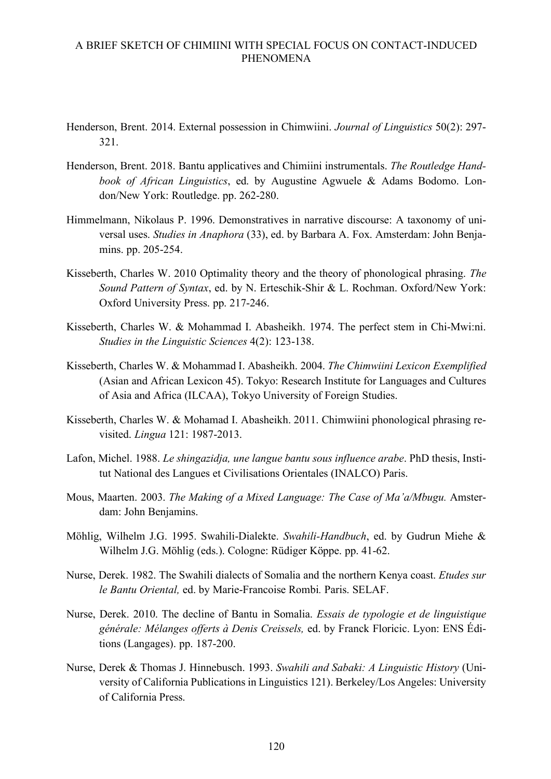- Henderson, Brent. 2014. External possession in Chimwiini. *Journal of Linguistics* 50(2): 297- 321.
- Henderson, Brent. 2018. Bantu applicatives and Chimiini instrumentals. *The Routledge Handbook of African Linguistics*, ed. by Augustine Agwuele & Adams Bodomo. London/New York: Routledge. pp. 262-280.
- Himmelmann, Nikolaus P. 1996. Demonstratives in narrative discourse: A taxonomy of universal uses. *Studies in Anaphora* (33), ed. by Barbara A. Fox. Amsterdam: John Benjamins. pp. 205-254.
- Kisseberth, Charles W. 2010 Optimality theory and the theory of phonological phrasing. *The Sound Pattern of Syntax*, ed. by N. Erteschik-Shir & L. Rochman. Oxford/New York: Oxford University Press. pp. 217-246.
- Kisseberth, Charles W. & Mohammad I. Abasheikh. 1974. The perfect stem in Chi-Mwi:ni. *Studies in the Linguistic Sciences* 4(2): 123-138.
- Kisseberth, Charles W. & Mohammad I. Abasheikh. 2004. *The Chimwiini Lexicon Exemplified* (Asian and African Lexicon 45). Tokyo: Research Institute for Languages and Cultures of Asia and Africa (ILCAA), Tokyo University of Foreign Studies.
- Kisseberth, Charles W. & Mohamad I. Abasheikh. 2011. Chimwiini phonological phrasing revisited. *Lingua* 121: 1987-2013.
- Lafon, Michel. 1988. *Le shingazidja, une langue bantu sous influence arabe*. PhD thesis, Institut National des Langues et Civilisations Orientales (INALCO) Paris.
- Mous, Maarten. 2003. *The Making of a Mixed Language: The Case of Ma'a/Mbugu.* Amsterdam: John Benjamins.
- Möhlig, Wilhelm J.G. 1995. Swahili-Dialekte. *Swahili-Handbuch*, ed. by Gudrun Miehe & Wilhelm J.G. Möhlig (eds.). Cologne: Rüdiger Köppe. pp. 41-62.
- Nurse, Derek. 1982. The Swahili dialects of Somalia and the northern Kenya coast. *Etudes sur le Bantu Oriental,* ed. by Marie-Francoise Rombi*.* Paris. SELAF.
- Nurse, Derek. 2010. The decline of Bantu in Somalia. *Essais de typologie et de linguistique générale: Mélanges offerts à Denis Creissels,* ed. by Franck Floricic. Lyon: ENS Éditions (Langages). pp. 187-200.
- Nurse, Derek & Thomas J. Hinnebusch. 1993. *Swahili and Sabaki: A Linguistic History* (University of California Publications in Linguistics 121). Berkeley/Los Angeles: University of California Press.